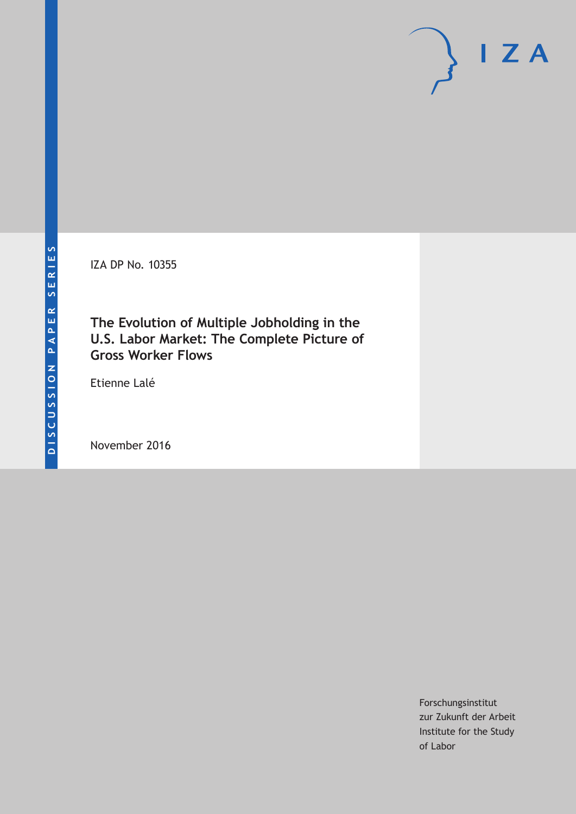IZA DP No. 10355

# **The Evolution of Multiple Jobholding in the U.S. Labor Market: The Complete Picture of Gross Worker Flows**

Etienne Lalé

November 2016

Forschungsinstitut zur Zukunft der Arbeit Institute for the Study of Labor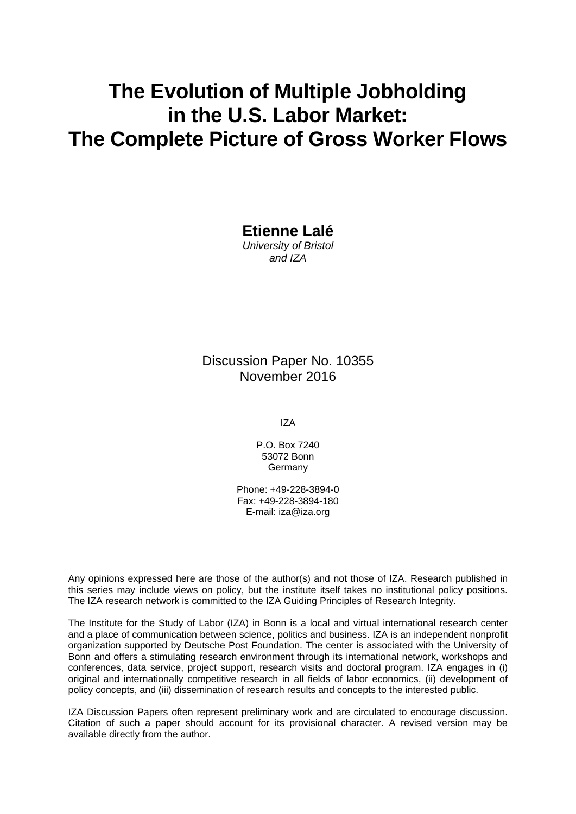# **The Evolution of Multiple Jobholding in the U.S. Labor Market: The Complete Picture of Gross Worker Flows**

**Etienne Lalé** 

*University of Bristol and IZA* 

### Discussion Paper No. 10355 November 2016

IZA

P.O. Box 7240 53072 Bonn **Germany** 

Phone: +49-228-3894-0 Fax: +49-228-3894-180 E-mail: iza@iza.org

Any opinions expressed here are those of the author(s) and not those of IZA. Research published in this series may include views on policy, but the institute itself takes no institutional policy positions. The IZA research network is committed to the IZA Guiding Principles of Research Integrity.

The Institute for the Study of Labor (IZA) in Bonn is a local and virtual international research center and a place of communication between science, politics and business. IZA is an independent nonprofit organization supported by Deutsche Post Foundation. The center is associated with the University of Bonn and offers a stimulating research environment through its international network, workshops and conferences, data service, project support, research visits and doctoral program. IZA engages in (i) original and internationally competitive research in all fields of labor economics, (ii) development of policy concepts, and (iii) dissemination of research results and concepts to the interested public.

IZA Discussion Papers often represent preliminary work and are circulated to encourage discussion. Citation of such a paper should account for its provisional character. A revised version may be available directly from the author.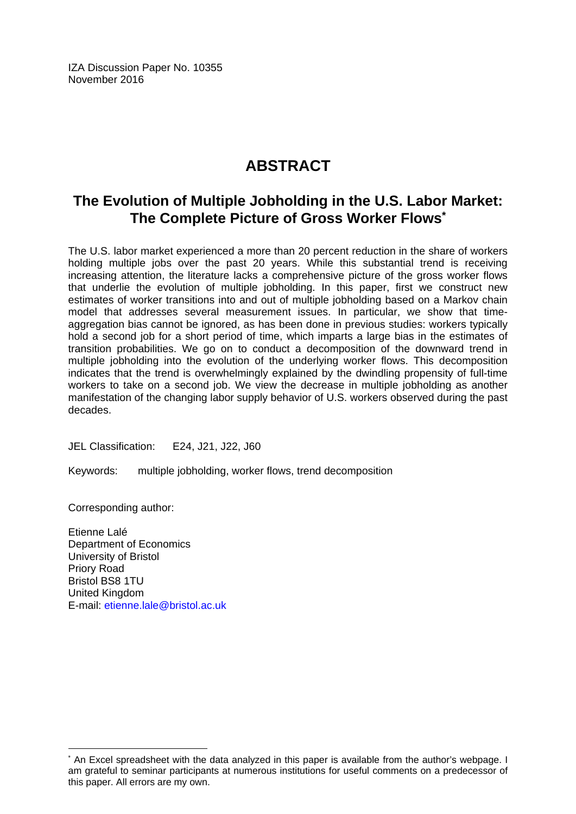IZA Discussion Paper No. 10355 November 2016

# **ABSTRACT**

# **The Evolution of Multiple Jobholding in the U.S. Labor Market: The Complete Picture of Gross Worker Flows\***

The U.S. labor market experienced a more than 20 percent reduction in the share of workers holding multiple jobs over the past 20 years. While this substantial trend is receiving increasing attention, the literature lacks a comprehensive picture of the gross worker flows that underlie the evolution of multiple jobholding. In this paper, first we construct new estimates of worker transitions into and out of multiple jobholding based on a Markov chain model that addresses several measurement issues. In particular, we show that timeaggregation bias cannot be ignored, as has been done in previous studies: workers typically hold a second job for a short period of time, which imparts a large bias in the estimates of transition probabilities. We go on to conduct a decomposition of the downward trend in multiple jobholding into the evolution of the underlying worker flows. This decomposition indicates that the trend is overwhelmingly explained by the dwindling propensity of full-time workers to take on a second job. We view the decrease in multiple jobholding as another manifestation of the changing labor supply behavior of U.S. workers observed during the past decades.

JEL Classification: E24, J21, J22, J60

Keywords: multiple jobholding, worker flows, trend decomposition

Corresponding author:

 $\overline{a}$ 

Etienne Lalé Department of Economics University of Bristol Priory Road Bristol BS8 1TU United Kingdom E-mail: etienne.lale@bristol.ac.uk

<sup>\*</sup> An Excel spreadsheet with the data analyzed in this paper is available from the author's webpage. I am grateful to seminar participants at numerous institutions for useful comments on a predecessor of this paper. All errors are my own.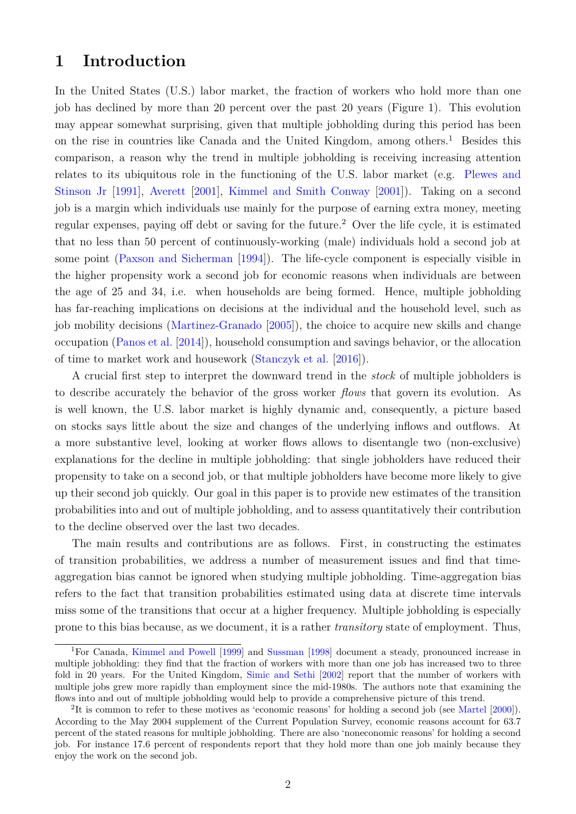# **1 Introduction**

In the United States (U.S.) labor market, the fraction of workers who hold more than one job has declined by more than 20 percent over the past 20 years (Figure [1\)](#page-4-0). This evolution may appear somewhat surprising, given that multiple jobholding during this period has been on the rise in countries like Canada and the United Kingdom, among others.<sup>[1](#page--1-0)</sup> Besides this comparison, a reason why the trend in multiple jobholding is receiving increasing attention relates to its ubiquitous role in the functioning of the U.S. labor market (e.g. [Plewes and](#page-23-0) [Stinson Jr](#page-23-0) [\[1991\]](#page-23-0), [Averett](#page-22-0) [\[2001\]](#page-22-0), [Kimmel and Smith Conway](#page-23-1) [\[2001\]](#page-23-1)). Taking on a second job is a margin which individuals use mainly for the purpose of earning extra money, meeting regular expenses, paying off debt or saving for the future.[2](#page--1-0) Over the life cycle, it is estimated that no less than 50 percent of continuously-working (male) individuals hold a second job at some point [\(Paxson and Sicherman](#page-23-2) [\[1994\]](#page-23-2)). The life-cycle component is especially visible in the higher propensity work a second job for economic reasons when individuals are between the age of 25 and 34, i.e. when households are being formed. Hence, multiple jobholding has far-reaching implications on decisions at the individual and the household level, such as job mobility decisions [\(Martinez-Granado](#page-23-3) [\[2005\]](#page-23-3)), the choice to acquire new skills and change occupation [\(Panos et al.](#page-23-4) [\[2014\]](#page-23-4)), household consumption and savings behavior, or the allocation of time to market work and housework [\(Stanczyk et al.](#page-24-0) [\[2016\]](#page-24-0)).

A crucial first step to interpret the downward trend in the *stock* of multiple jobholders is to describe accurately the behavior of the gross worker *flows* that govern its evolution. As is well known, the U.S. labor market is highly dynamic and, consequently, a picture based on stocks says little about the size and changes of the underlying inflows and outflows. At a more substantive level, looking at worker flows allows to disentangle two (non-exclusive) explanations for the decline in multiple jobholding: that single jobholders have reduced their propensity to take on a second job, or that multiple jobholders have become more likely to give up their second job quickly. Our goal in this paper is to provide new estimates of the transition probabilities into and out of multiple jobholding, and to assess quantitatively their contribution to the decline observed over the last two decades.

The main results and contributions are as follows. First, in constructing the estimates of transition probabilities, we address a number of measurement issues and find that timeaggregation bias cannot be ignored when studying multiple jobholding. Time-aggregation bias refers to the fact that transition probabilities estimated using data at discrete time intervals miss some of the transitions that occur at a higher frequency. Multiple jobholding is especially prone to this bias because, as we document, it is a rather *transitory* state of employment. Thus,

<sup>&</sup>lt;sup>1</sup>For Canada, [Kimmel and Powell](#page-23-5) [\[1999\]](#page-23-5) and [Sussman](#page-24-1) [\[1998\]](#page-24-1) document a steady, pronounced increase in multiple jobholding: they find that the fraction of workers with more than one job has increased two to three fold in 20 years. For the United Kingdom, [Simic and Sethi](#page-24-2) [\[2002\]](#page-24-2) report that the number of workers with multiple jobs grew more rapidly than employment since the mid-1980s. The authors note that examining the flows into and out of multiple jobholding would help to provide a comprehensive picture of this trend.

<sup>&</sup>lt;sup>2</sup>It is common to refer to these motives as 'economic reasons' for holding a second job (see [Martel](#page-23-6) [\[2000\]](#page-23-6)). According to the May 2004 supplement of the Current Population Survey, economic reasons account for 63.7 percent of the stated reasons for multiple jobholding. There are also 'noneconomic reasons' for holding a second job. For instance 17.6 percent of respondents report that they hold more than one job mainly because they enjoy the work on the second job.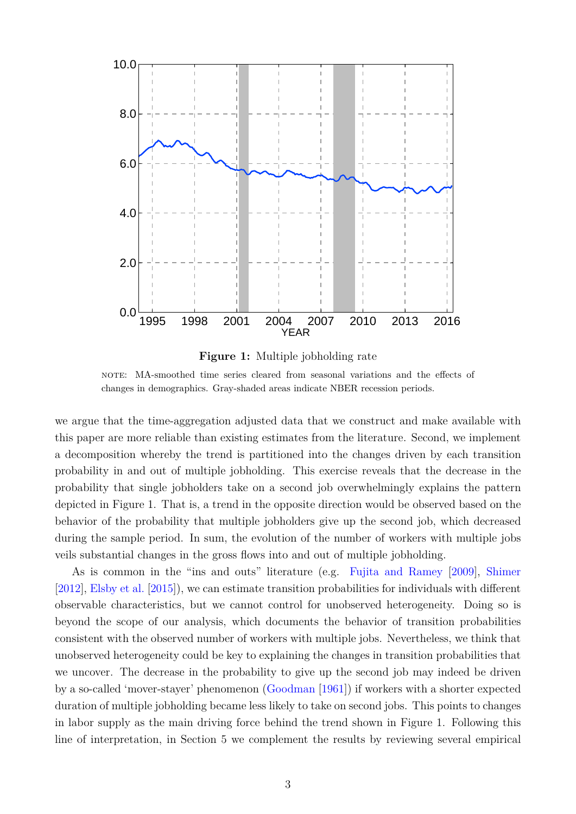<span id="page-4-0"></span>



note: MA-smoothed time series cleared from seasonal variations and the effects of changes in demographics. Gray-shaded areas indicate NBER recession periods.

we argue that the time-aggregation adjusted data that we construct and make available with this paper are more reliable than existing estimates from the literature. Second, we implement a decomposition whereby the trend is partitioned into the changes driven by each transition probability in and out of multiple jobholding. This exercise reveals that the decrease in the probability that single jobholders take on a second job overwhelmingly explains the pattern depicted in Figure [1.](#page-4-0) That is, a trend in the opposite direction would be observed based on the behavior of the probability that multiple jobholders give up the second job, which decreased during the sample period. In sum, the evolution of the number of workers with multiple jobs veils substantial changes in the gross flows into and out of multiple jobholding.

As is common in the "ins and outs" literature (e.g. [Fujita and Ramey](#page-22-1) [\[2009\]](#page-22-1), [Shimer](#page-23-7) [\[2012\]](#page-23-7), [Elsby et al.](#page-22-2) [\[2015\]](#page-22-2)), we can estimate transition probabilities for individuals with different observable characteristics, but we cannot control for unobserved heterogeneity. Doing so is beyond the scope of our analysis, which documents the behavior of transition probabilities consistent with the observed number of workers with multiple jobs. Nevertheless, we think that unobserved heterogeneity could be key to explaining the changes in transition probabilities that we uncover. The decrease in the probability to give up the second job may indeed be driven by a so-called 'mover-stayer' phenomenon [\(Goodman](#page-22-3) [\[1961\]](#page-22-3)) if workers with a shorter expected duration of multiple jobholding became less likely to take on second jobs. This points to changes in labor supply as the main driving force behind the trend shown in Figure [1.](#page-4-0) Following this line of interpretation, in Section [5](#page-20-0) we complement the results by reviewing several empirical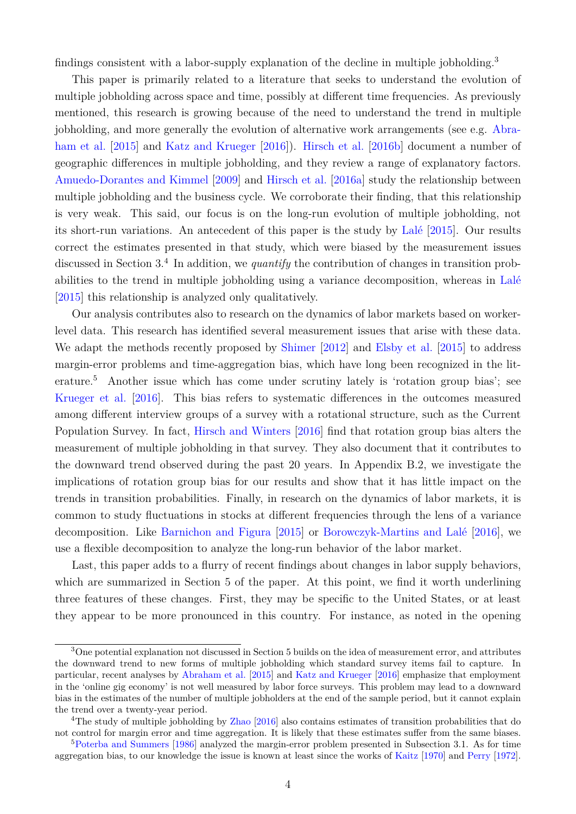findings consistent with a labor-supply explanation of the decline in multiple jobholding.[3](#page--1-0)

This paper is primarily related to a literature that seeks to understand the evolution of multiple jobholding across space and time, possibly at different time frequencies. As previously mentioned, this research is growing because of the need to understand the trend in multiple jobholding, and more generally the evolution of alternative work arrangements (see e.g. [Abra](#page-21-0)[ham et al.](#page-21-0) [\[2015\]](#page-21-0) and [Katz and Krueger](#page-23-8) [\[2016\]](#page-23-8)). [Hirsch et al.](#page-22-4) [\[2016b\]](#page-22-4) document a number of geographic differences in multiple jobholding, and they review a range of explanatory factors. [Amuedo-Dorantes and Kimmel](#page-22-5) [\[2009\]](#page-22-5) and [Hirsch et al.](#page-22-6) [\[2016a\]](#page-22-6) study the relationship between multiple jobholding and the business cycle. We corroborate their finding, that this relationship is very weak. This said, our focus is on the long-run evolution of multiple jobholding, not its short-run variations. An antecedent of this paper is the study by [Lalé](#page-23-9) [\[2015\]](#page-23-9). Our results correct the estimates presented in that study, which were biased by the measurement issues discussed in Section [3.](#page-9-0)<sup>[4](#page--1-0)</sup> In addition, we *quantify* the contribution of changes in transition probabilities to the trend in multiple jobholding using a variance decomposition, whereas in [Lalé](#page-23-9) [\[2015\]](#page-23-9) this relationship is analyzed only qualitatively.

Our analysis contributes also to research on the dynamics of labor markets based on workerlevel data. This research has identified several measurement issues that arise with these data. We adapt the methods recently proposed by [Shimer](#page-23-7) [\[2012\]](#page-23-7) and [Elsby et al.](#page-22-2) [\[2015\]](#page-22-2) to address margin-error problems and time-aggregation bias, which have long been recognized in the literature.[5](#page--1-0) Another issue which has come under scrutiny lately is 'rotation group bias'; see [Krueger et al.](#page-23-10) [\[2016\]](#page-23-10). This bias refers to systematic differences in the outcomes measured among different interview groups of a survey with a rotational structure, such as the Current Population Survey. In fact, [Hirsch and Winters](#page-22-7) [\[2016\]](#page-22-7) find that rotation group bias alters the measurement of multiple jobholding in that survey. They also document that it contributes to the downward trend observed during the past 20 years. In Appendix [B.2,](#page-27-0) we investigate the implications of rotation group bias for our results and show that it has little impact on the trends in transition probabilities. Finally, in research on the dynamics of labor markets, it is common to study fluctuations in stocks at different frequencies through the lens of a variance decomposition. Like [Barnichon and Figura](#page-22-8) [\[2015\]](#page-22-8) or [Borowczyk-Martins and Lalé](#page-22-9) [\[2016\]](#page-22-9), we use a flexible decomposition to analyze the long-run behavior of the labor market.

Last, this paper adds to a flurry of recent findings about changes in labor supply behaviors, which are summarized in Section [5](#page-20-0) of the paper. At this point, we find it worth underlining three features of these changes. First, they may be specific to the United States, or at least they appear to be more pronounced in this country. For instance, as noted in the opening

<sup>3</sup>One potential explanation not discussed in Section [5](#page-20-0) builds on the idea of measurement error, and attributes the downward trend to new forms of multiple jobholding which standard survey items fail to capture. In particular, recent analyses by [Abraham et al.](#page-21-0) [\[2015\]](#page-21-0) and [Katz and Krueger](#page-23-8) [\[2016\]](#page-23-8) emphasize that employment in the 'online gig economy' is not well measured by labor force surveys. This problem may lead to a downward bias in the estimates of the number of multiple jobholders at the end of the sample period, but it cannot explain the trend over a twenty-year period.

<sup>&</sup>lt;sup>4</sup>The study of multiple jobholding by [Zhao](#page-24-3) [\[2016\]](#page-24-3) also contains estimates of transition probabilities that do not control for margin error and time aggregation. It is likely that these estimates suffer from the same biases.

<sup>5</sup>[Poterba and Summers](#page-23-11) [\[1986\]](#page-23-11) analyzed the margin-error problem presented in Subsection [3.1.](#page-9-1) As for time aggregation bias, to our knowledge the issue is known at least since the works of [Kaitz](#page-22-10) [\[1970\]](#page-22-10) and [Perry](#page-23-12) [\[1972\]](#page-23-12).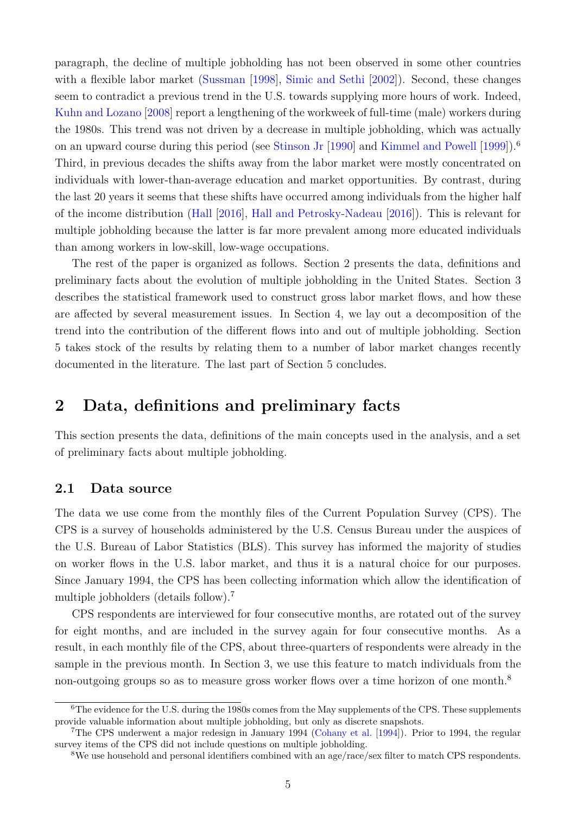paragraph, the decline of multiple jobholding has not been observed in some other countries with a flexible labor market [\(Sussman](#page-24-1) [\[1998\]](#page-24-1), [Simic and Sethi](#page-24-2) [\[2002\]](#page-24-2)). Second, these changes seem to contradict a previous trend in the U.S. towards supplying more hours of work. Indeed, [Kuhn and Lozano](#page-23-13) [\[2008\]](#page-23-13) report a lengthening of the workweek of full-time (male) workers during the 1980s. This trend was not driven by a decrease in multiple jobholding, which was actually on an upward course during this period (see [Stinson Jr](#page-24-4) [\[1990\]](#page-24-4) and [Kimmel and Powell](#page-23-5) [\[1999\]](#page-23-5)).[6](#page--1-0) Third, in previous decades the shifts away from the labor market were mostly concentrated on individuals with lower-than-average education and market opportunities. By contrast, during the last 20 years it seems that these shifts have occurred among individuals from the higher half of the income distribution [\(Hall](#page-22-11) [\[2016\]](#page-22-11), [Hall and Petrosky-Nadeau](#page-22-12) [\[2016\]](#page-22-12)). This is relevant for multiple jobholding because the latter is far more prevalent among more educated individuals than among workers in low-skill, low-wage occupations.

The rest of the paper is organized as follows. Section [2](#page-6-0) presents the data, definitions and preliminary facts about the evolution of multiple jobholding in the United States. Section [3](#page-9-0) describes the statistical framework used to construct gross labor market flows, and how these are affected by several measurement issues. In Section [4,](#page-15-0) we lay out a decomposition of the trend into the contribution of the different flows into and out of multiple jobholding. Section [5](#page-20-0) takes stock of the results by relating them to a number of labor market changes recently documented in the literature. The last part of Section [5](#page-20-0) concludes.

## <span id="page-6-0"></span>**2 Data, definitions and preliminary facts**

This section presents the data, definitions of the main concepts used in the analysis, and a set of preliminary facts about multiple jobholding.

#### <span id="page-6-1"></span>**2.1 Data source**

The data we use come from the monthly files of the Current Population Survey (CPS). The CPS is a survey of households administered by the U.S. Census Bureau under the auspices of the U.S. Bureau of Labor Statistics (BLS). This survey has informed the majority of studies on worker flows in the U.S. labor market, and thus it is a natural choice for our purposes. Since January 1994, the CPS has been collecting information which allow the identification of multiple jobholders (details follow).[7](#page--1-0)

CPS respondents are interviewed for four consecutive months, are rotated out of the survey for eight months, and are included in the survey again for four consecutive months. As a result, in each monthly file of the CPS, about three-quarters of respondents were already in the sample in the previous month. In Section [3,](#page-9-0) we use this feature to match individuals from the non-outgoing groups so as to measure gross worker flows over a time horizon of one month.<sup>[8](#page--1-0)</sup>

<sup>&</sup>lt;sup>6</sup>The evidence for the U.S. during the 1980s comes from the May supplements of the CPS. These supplements provide valuable information about multiple jobholding, but only as discrete snapshots.

<sup>7</sup>The CPS underwent a major redesign in January 1994 [\(Cohany et al.](#page-22-13) [\[1994\]](#page-22-13)). Prior to 1994, the regular survey items of the CPS did not include questions on multiple jobholding.

<sup>8</sup>We use household and personal identifiers combined with an age/race/sex filter to match CPS respondents.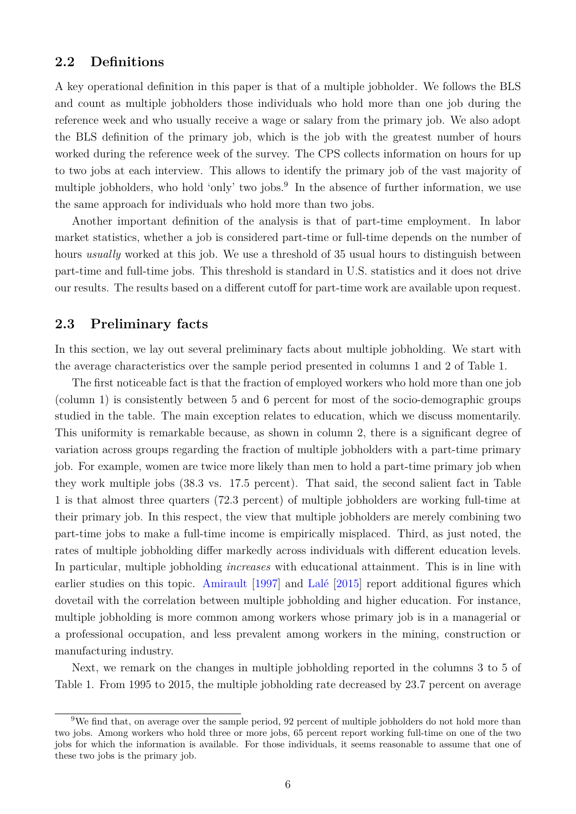#### **2.2 Definitions**

A key operational definition in this paper is that of a multiple jobholder. We follows the BLS and count as multiple jobholders those individuals who hold more than one job during the reference week and who usually receive a wage or salary from the primary job. We also adopt the BLS definition of the primary job, which is the job with the greatest number of hours worked during the reference week of the survey. The CPS collects information on hours for up to two jobs at each interview. This allows to identify the primary job of the vast majority of multiple jobholders, who hold 'only' two jobs.<sup>[9](#page--1-0)</sup> In the absence of further information, we use the same approach for individuals who hold more than two jobs.

Another important definition of the analysis is that of part-time employment. In labor market statistics, whether a job is considered part-time or full-time depends on the number of hours *usually* worked at this job. We use a threshold of 35 usual hours to distinguish between part-time and full-time jobs. This threshold is standard in U.S. statistics and it does not drive our results. The results based on a different cutoff for part-time work are available upon request.

#### <span id="page-7-0"></span>**2.3 Preliminary facts**

In this section, we lay out several preliminary facts about multiple jobholding. We start with the average characteristics over the sample period presented in columns 1 and 2 of Table [1.](#page-8-0)

The first noticeable fact is that the fraction of employed workers who hold more than one job (column 1) is consistently between 5 and 6 percent for most of the socio-demographic groups studied in the table. The main exception relates to education, which we discuss momentarily. This uniformity is remarkable because, as shown in column 2, there is a significant degree of variation across groups regarding the fraction of multiple jobholders with a part-time primary job. For example, women are twice more likely than men to hold a part-time primary job when they work multiple jobs (38.3 vs. 17.5 percent). That said, the second salient fact in Table [1](#page-8-0) is that almost three quarters (72.3 percent) of multiple jobholders are working full-time at their primary job. In this respect, the view that multiple jobholders are merely combining two part-time jobs to make a full-time income is empirically misplaced. Third, as just noted, the rates of multiple jobholding differ markedly across individuals with different education levels. In particular, multiple jobholding *increases* with educational attainment. This is in line with earlier studies on this topic. [Amirault](#page-21-1) [\[1997\]](#page-21-1) and [Lalé](#page-23-9) [\[2015\]](#page-23-9) report additional figures which dovetail with the correlation between multiple jobholding and higher education. For instance, multiple jobholding is more common among workers whose primary job is in a managerial or a professional occupation, and less prevalent among workers in the mining, construction or manufacturing industry.

Next, we remark on the changes in multiple jobholding reported in the columns 3 to 5 of Table [1.](#page-8-0) From 1995 to 2015, the multiple jobholding rate decreased by 23.7 percent on average

<sup>&</sup>lt;sup>9</sup>We find that, on average over the sample period, 92 percent of multiple jobholders do not hold more than two jobs. Among workers who hold three or more jobs, 65 percent report working full-time on one of the two jobs for which the information is available. For those individuals, it seems reasonable to assume that one of these two jobs is the primary job.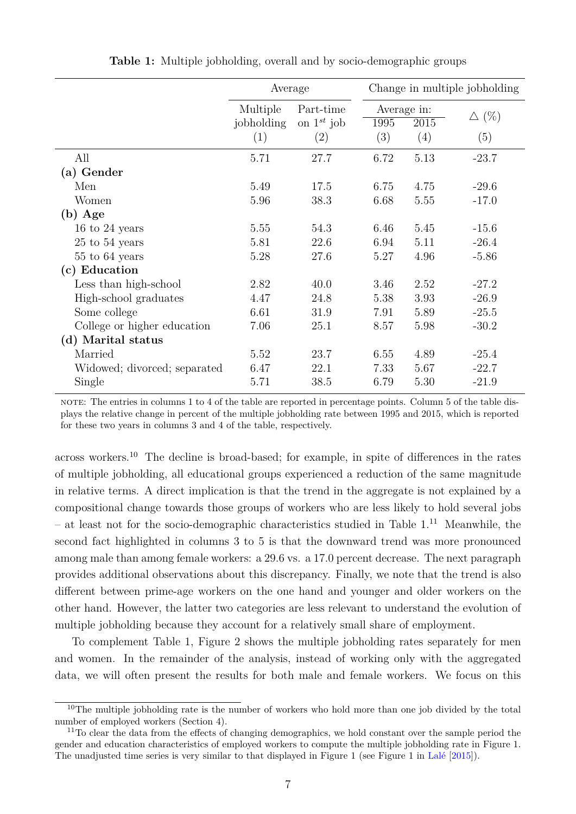<span id="page-8-0"></span>

|                                        | Average                |                              | Change in multiple jobholding |      |                 |  |
|----------------------------------------|------------------------|------------------------------|-------------------------------|------|-----------------|--|
|                                        | Multiple<br>jobholding | Part-time<br>on $1^{st}$ job | Average in:<br>1995           | 2015 | $\triangle$ (%) |  |
|                                        | (1)                    | (2)                          | (3)                           | (4)  | (5)             |  |
| All                                    | 5.71                   | 27.7                         | 6.72                          | 5.13 | $-23.7$         |  |
| (a) Gender                             |                        |                              |                               |      |                 |  |
| Men                                    | 5.49                   | 17.5                         | 6.75                          | 4.75 | $-29.6$         |  |
| Women                                  | 5.96                   | 38.3                         | 6.68                          | 5.55 | $-17.0$         |  |
| $(b)$ Age                              |                        |                              |                               |      |                 |  |
| 16 to 24 years                         | 5.55                   | 54.3                         | 6.46                          | 5.45 | $-15.6$         |  |
| $25$ to $54$ years                     | 5.81                   | 22.6                         | 6.94                          | 5.11 | $-26.4$         |  |
| $55$ to $64$ years                     | 5.28                   | 27.6                         | 5.27                          | 4.96 | $-5.86$         |  |
| (c) Education                          |                        |                              |                               |      |                 |  |
| $\operatorname{Less}$ than high-school | 2.82                   | 40.0                         | 3.46                          | 2.52 | $-27.2$         |  |
| High-school graduates                  | 4.47                   | 24.8                         | 5.38                          | 3.93 | $-26.9$         |  |
| Some college                           | 6.61                   | 31.9                         | 7.91                          | 5.89 | $-25.5$         |  |
| College or higher education            | 7.06                   | 25.1                         | 8.57                          | 5.98 | $-30.2$         |  |
| (d) Marital status                     |                        |                              |                               |      |                 |  |
| Married                                | 5.52                   | 23.7                         | 6.55                          | 4.89 | $-25.4$         |  |
| Widowed; divorced; separated           | 6.47                   | 22.1                         | 7.33                          | 5.67 | $-22.7$         |  |
| Single                                 | 5.71                   | 38.5                         | 6.79                          | 5.30 | $-21.9$         |  |

**Table 1:** Multiple jobholding, overall and by socio-demographic groups

note: The entries in columns 1 to 4 of the table are reported in percentage points. Column 5 of the table displays the relative change in percent of the multiple jobholding rate between 1995 and 2015, which is reported for these two years in columns 3 and 4 of the table, respectively.

across workers.[10](#page--1-0) The decline is broad-based; for example, in spite of differences in the rates of multiple jobholding, all educational groups experienced a reduction of the same magnitude in relative terms. A direct implication is that the trend in the aggregate is not explained by a compositional change towards those groups of workers who are less likely to hold several jobs – at least not for the socio-demographic characteristics studied in Table [1.](#page-8-0) [11](#page--1-0) Meanwhile, the second fact highlighted in columns 3 to 5 is that the downward trend was more pronounced among male than among female workers: a 29.6 vs. a 17.0 percent decrease. The next paragraph provides additional observations about this discrepancy. Finally, we note that the trend is also different between prime-age workers on the one hand and younger and older workers on the other hand. However, the latter two categories are less relevant to understand the evolution of multiple jobholding because they account for a relatively small share of employment.

To complement Table [1,](#page-8-0) Figure [2](#page-9-2) shows the multiple jobholding rates separately for men and women. In the remainder of the analysis, instead of working only with the aggregated data, we will often present the results for both male and female workers. We focus on this

<sup>&</sup>lt;sup>10</sup>The multiple jobholding rate is the number of workers who hold more than one job divided by the total number of employed workers (Section [4\)](#page-15-0).

<sup>&</sup>lt;sup>11</sup>To clear the data from the effects of changing demographics, we hold constant over the sample period the gender and education characteristics of employed workers to compute the multiple jobholding rate in Figure [1.](#page-4-0) The unadjusted time series is very similar to that displayed in Figure [1](#page-4-0) (see Figure 1 in [Lalé](#page-23-9) [\[2015\]](#page-23-9)).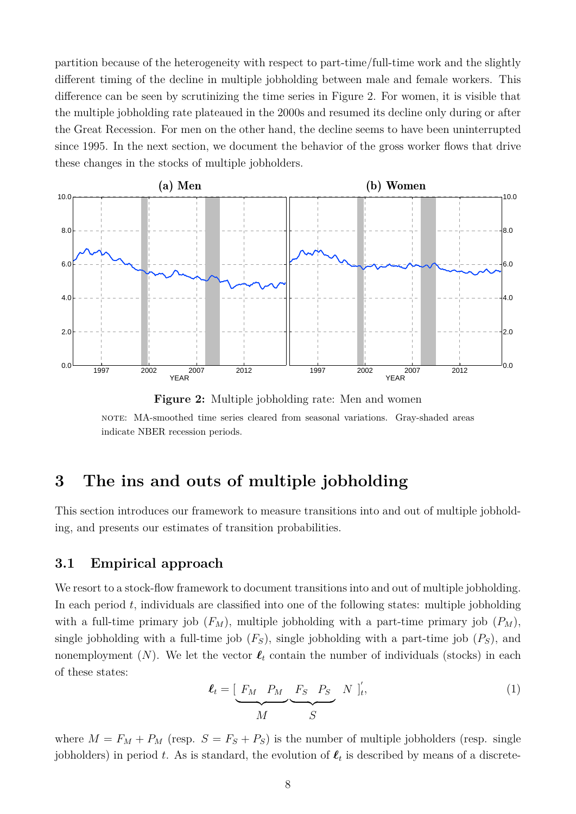partition because of the heterogeneity with respect to part-time/full-time work and the slightly different timing of the decline in multiple jobholding between male and female workers. This difference can be seen by scrutinizing the time series in Figure [2.](#page-9-2) For women, it is visible that the multiple jobholding rate plateaued in the 2000s and resumed its decline only during or after the Great Recession. For men on the other hand, the decline seems to have been uninterrupted since 1995. In the next section, we document the behavior of the gross worker flows that drive these changes in the stocks of multiple jobholders.

<span id="page-9-2"></span>

**Figure 2:** Multiple jobholding rate: Men and women note: MA-smoothed time series cleared from seasonal variations. Gray-shaded areas indicate NBER recession periods.

## <span id="page-9-0"></span>**3 The ins and outs of multiple jobholding**

This section introduces our framework to measure transitions into and out of multiple jobholding, and presents our estimates of transition probabilities.

#### <span id="page-9-1"></span>**3.1 Empirical approach**

We resort to a stock-flow framework to document transitions into and out of multiple jobholding. In each period  $t$ , individuals are classified into one of the following states: multiple jobholding with a full-time primary job  $(F_M)$ , multiple jobholding with a part-time primary job  $(P_M)$ , single jobholding with a full-time job  $(F_S)$ , single jobholding with a part-time job  $(F_S)$ , and nonemployment (N). We let the vector  $\ell_t$  contain the number of individuals (stocks) in each of these states:

$$
\ell_t = \underbrace{\begin{bmatrix} F_M & P_M & F_S & P_S & N \end{bmatrix}_t'}_{M},\tag{1}
$$

where  $M = F_M + P_M$  (resp.  $S = F_S + P_S$ ) is the number of multiple jobholders (resp. single jobholders) in period t. As is standard, the evolution of  $\ell_t$  is described by means of a discrete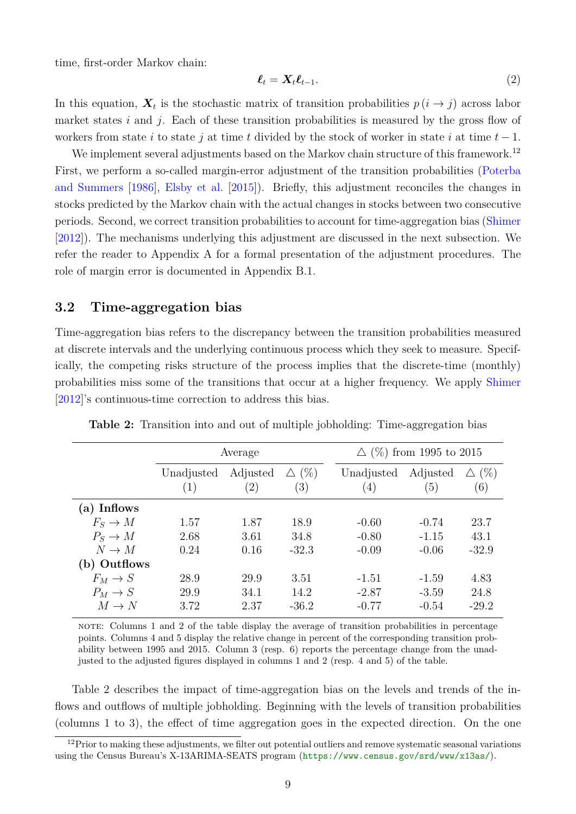time, first-order Markov chain:

<span id="page-10-1"></span>
$$
\ell_t = \mathbf{X}_t \ell_{t-1}.\tag{2}
$$

In this equation,  $\boldsymbol{X}_t$  is the stochastic matrix of transition probabilities  $p(i \to j)$  across labor market states  $i$  and  $j$ . Each of these transition probabilities is measured by the gross flow of workers from state i to state j at time t divided by the stock of worker in state i at time  $t - 1$ .

We implement several adjustments based on the Markov chain structure of this framework.<sup>[12](#page--1-0)</sup> First, we perform a so-called margin-error adjustment of the transition probabilities [\(Poterba](#page-23-11) [and Summers](#page-23-11) [\[1986\]](#page-23-11), [Elsby et al.](#page-22-2) [\[2015\]](#page-22-2)). Briefly, this adjustment reconciles the changes in stocks predicted by the Markov chain with the actual changes in stocks between two consecutive periods. Second, we correct transition probabilities to account for time-aggregation bias [\(Shimer](#page-23-7) [\[2012\]](#page-23-7)). The mechanisms underlying this adjustment are discussed in the next subsection. We refer the reader to Appendix [A](#page-25-0) for a formal presentation of the adjustment procedures. The role of margin error is documented in Appendix [B.1.](#page-26-0)

#### <span id="page-10-2"></span>**3.2 Time-aggregation bias**

Time-aggregation bias refers to the discrepancy between the transition probabilities measured at discrete intervals and the underlying continuous process which they seek to measure. Specifically, the competing risks structure of the process implies that the discrete-time (monthly) probabilities miss some of the transitions that occur at a higher frequency. We apply [Shimer](#page-23-7) [\[2012\]](#page-23-7)'s continuous-time correction to address this bias.

<span id="page-10-0"></span>

|              | Average           |                 |                        | $\Delta$ (%) from 1995 to 2015 |                 |                        |  |
|--------------|-------------------|-----------------|------------------------|--------------------------------|-----------------|------------------------|--|
|              | Unadjusted<br>(1) | Adjusted<br>(2) | $\triangle$ (%)<br>(3) | Unadjusted<br>(4)              | Adjusted<br>(5) | $\triangle$ (%)<br>(6) |  |
| (a) Inflows  |                   |                 |                        |                                |                 |                        |  |
| $F_S \to M$  | 1.57              | 1.87            | 18.9                   | $-0.60$                        | $-0.74$         | 23.7                   |  |
| $P_S \to M$  | 2.68              | 3.61            | 34.8                   | $-0.80$                        | $-1.15$         | 43.1                   |  |
| $N \to M$    | 0.24              | 0.16            | $-32.3$                | $-0.09$                        | $-0.06$         | $-32.9$                |  |
| (b) Outflows |                   |                 |                        |                                |                 |                        |  |
| $F_M \to S$  | 28.9              | 29.9            | 3.51                   | $-1.51$                        | $-1.59$         | 4.83                   |  |
| $P_M \to S$  | 29.9              | 34.1            | 14.2                   | $-2.87$                        | $-3.59$         | 24.8                   |  |
| $M \to N$    | 3.72              | 2.37            | $-36.2$                | $-0.77$                        | $-0.54$         | $-29.2$                |  |

**Table 2:** Transition into and out of multiple jobholding: Time-aggregation bias

note: Columns 1 and 2 of the table display the average of transition probabilities in percentage points. Columns 4 and 5 display the relative change in percent of the corresponding transition probability between 1995 and 2015. Column 3 (resp. 6) reports the percentage change from the unadjusted to the adjusted figures displayed in columns 1 and 2 (resp. 4 and 5) of the table.

Table [2](#page-10-0) describes the impact of time-aggregation bias on the levels and trends of the inflows and outflows of multiple jobholding. Beginning with the levels of transition probabilities (columns 1 to 3), the effect of time aggregation goes in the expected direction. On the one

 $12$ Prior to making these adjustments, we filter out potential outliers and remove systematic seasonal variations using the Census Bureau's X-13ARIMA-SEATS program (<https://www.census.gov/srd/www/x13as/>).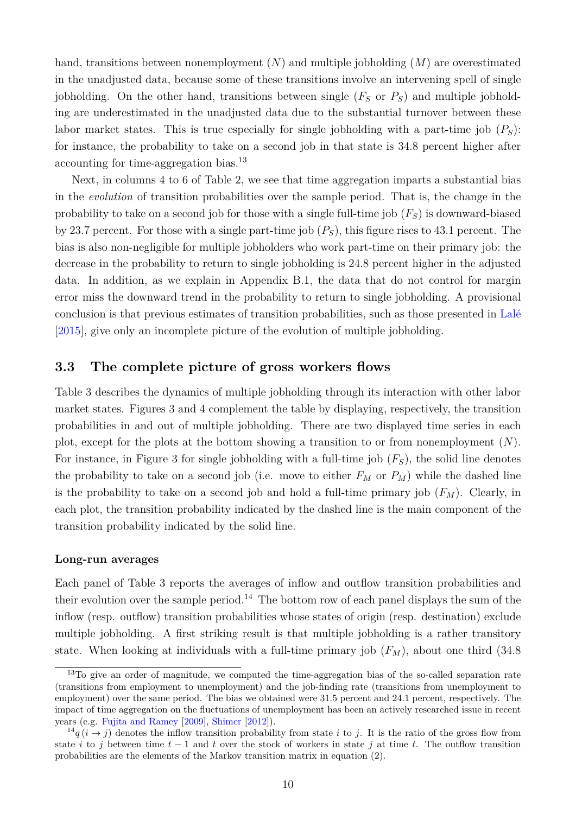hand, transitions between nonemployment  $(N)$  and multiple jobholding  $(M)$  are overestimated in the unadjusted data, because some of these transitions involve an intervening spell of single jobholding. On the other hand, transitions between single  $(F_S \text{ or } P_S)$  and multiple jobholding are underestimated in the unadjusted data due to the substantial turnover between these labor market states. This is true especially for single jobholding with a part-time job  $(P<sub>S</sub>)$ : for instance, the probability to take on a second job in that state is 34.8 percent higher after accounting for time-aggregation bias.[13](#page--1-0)

Next, in columns 4 to 6 of Table [2,](#page-10-0) we see that time aggregation imparts a substantial bias in the *evolution* of transition probabilities over the sample period. That is, the change in the probability to take on a second job for those with a single full-time job  $(F<sub>S</sub>)$  is downward-biased by 23.7 percent. For those with a single part-time job  $(P<sub>S</sub>)$ , this figure rises to 43.1 percent. The bias is also non-negligible for multiple jobholders who work part-time on their primary job: the decrease in the probability to return to single jobholding is 24.8 percent higher in the adjusted data. In addition, as we explain in Appendix [B.1,](#page-26-0) the data that do not control for margin error miss the downward trend in the probability to return to single jobholding. A provisional conclusion is that previous estimates of transition probabilities, such as those presented in [Lalé](#page-23-9) [\[2015\]](#page-23-9), give only an incomplete picture of the evolution of multiple jobholding.

#### <span id="page-11-0"></span>**3.3 The complete picture of gross workers flows**

Table [3](#page-12-0) describes the dynamics of multiple jobholding through its interaction with other labor market states. Figures [3](#page-13-0) and [4](#page-14-0) complement the table by displaying, respectively, the transition probabilities in and out of multiple jobholding. There are two displayed time series in each plot, except for the plots at the bottom showing a transition to or from nonemployment  $(N)$ . For instance, in Figure [3](#page-13-0) for single jobholding with a full-time job  $(F<sub>S</sub>)$ , the solid line denotes the probability to take on a second job (i.e. move to either  $F_M$  or  $P_M$ ) while the dashed line is the probability to take on a second job and hold a full-time primary job  $(F_M)$ . Clearly, in each plot, the transition probability indicated by the dashed line is the main component of the transition probability indicated by the solid line.

#### **Long-run averages**

Each panel of Table [3](#page-12-0) reports the averages of inflow and outflow transition probabilities and their evolution over the sample period.<sup>[14](#page--1-0)</sup> The bottom row of each panel displays the sum of the inflow (resp. outflow) transition probabilities whose states of origin (resp. destination) exclude multiple jobholding. A first striking result is that multiple jobholding is a rather transitory state. When looking at individuals with a full-time primary job  $(F_M)$ , about one third (34.8)

<sup>&</sup>lt;sup>13</sup>To give an order of magnitude, we computed the time-aggregation bias of the so-called separation rate (transitions from employment to unemployment) and the job-finding rate (transitions from unemployment to employment) over the same period. The bias we obtained were 31.5 percent and 24.1 percent, respectively. The impact of time aggregation on the fluctuations of unemployment has been an actively researched issue in recent years (e.g. [Fujita and Ramey](#page-22-1) [\[2009\]](#page-22-1), [Shimer](#page-23-7) [\[2012\]](#page-23-7)).

 $14q$  ( $i \rightarrow j$ ) denotes the inflow transition probability from state i to j. It is the ratio of the gross flow from state i to j between time  $t - 1$  and t over the stock of workers in state j at time t. The outflow transition probabilities are the elements of the Markov transition matrix in equation [\(2\)](#page-10-1).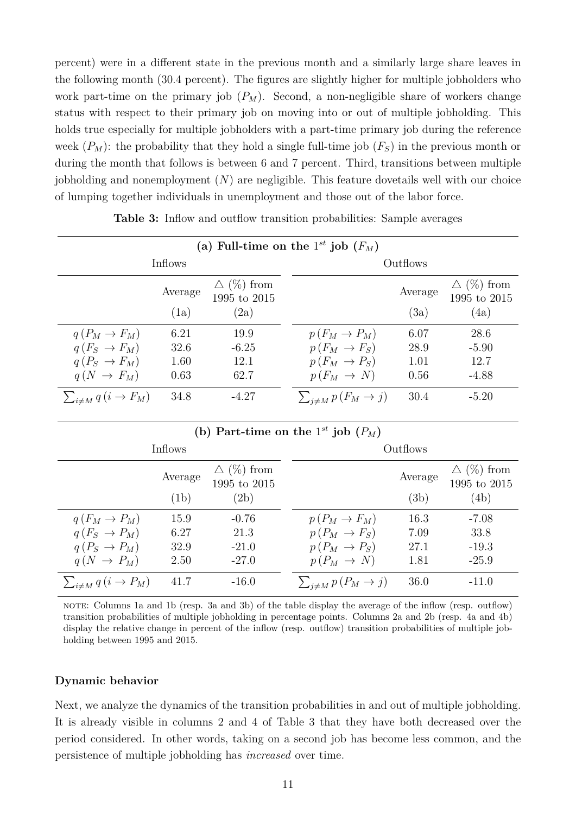percent) were in a different state in the previous month and a similarly large share leaves in the following month (30.4 percent). The figures are slightly higher for multiple jobholders who work part-time on the primary job  $(P_M)$ . Second, a non-negligible share of workers change status with respect to their primary job on moving into or out of multiple jobholding. This holds true especially for multiple jobholders with a part-time primary job during the reference week  $(P_M)$ : the probability that they hold a single full-time job  $(F_S)$  in the previous month or during the month that follows is between 6 and 7 percent. Third, transitions between multiple jobholding and nonemployment  $(N)$  are negligible. This feature dovetails well with our choice of lumping together individuals in unemployment and those out of the labor force.

<span id="page-12-0"></span>

| (a) Full-time on the $1^{st}$ job $(F_M)$ |                 |                                           |                                |                 |                                              |  |
|-------------------------------------------|-----------------|-------------------------------------------|--------------------------------|-----------------|----------------------------------------------|--|
|                                           | Inflows         |                                           |                                | Outflows        |                                              |  |
|                                           | Average<br>(1a) | $\Delta$ (%) from<br>1995 to 2015<br>(2a) |                                | Average<br>(3a) | $\triangle$ (%) from<br>1995 to 2015<br>(4a) |  |
|                                           |                 |                                           |                                |                 |                                              |  |
| $q(P_M \rightarrow F_M)$                  | 6.21            | 19.9                                      | $p(F_M \to P_M)$               | 6.07            | 28.6                                         |  |
| $q(F_S \rightarrow F_M)$                  | 32.6            | $-6.25$                                   | $p(F_M \rightarrow F_S)$       | 28.9            | $-5.90$                                      |  |
| $q(P_S \rightarrow F_M)$                  | 1.60            | 12.1                                      | $p(F_M \rightarrow P_S)$       | 1.01            | 12.7                                         |  |
| $q(N \rightarrow F_M)$                    | 0.63            | 62.7                                      | $p(F_M \rightarrow N)$         | 0.56            | $-4.88$                                      |  |
| $\sum_{i \neq M} q(i \rightarrow F_M)$    | 34.8            | $-4.27$                                   | $\sum_{j \neq M} p(F_M \to j)$ | 30.4            | $-5.20$                                      |  |

**Table 3:** Inflow and outflow transition probabilities: Sample averages

| (b) Part-time on the $1^{st}$ job $(P_M)$ |                 |                                              |                               |                 |                                              |  |
|-------------------------------------------|-----------------|----------------------------------------------|-------------------------------|-----------------|----------------------------------------------|--|
|                                           | Inflows         |                                              |                               | Outflows        |                                              |  |
|                                           | Average<br>(1b) | $\triangle$ (%) from<br>1995 to 2015<br>(2b) |                               | Average<br>(3b) | $\triangle$ (%) from<br>1995 to 2015<br>(4b) |  |
| $q(F_M \to P_M)$                          | 15.9            | $-0.76$                                      | $p(P_M \rightarrow F_M)$      | 16.3            | $-7.08$                                      |  |
| $q(F_S \rightarrow P_M)$                  | 6.27            | 21.3                                         | $p(P_M \rightarrow F_S)$      | 7.09            | 33.8                                         |  |
| $q(P_S \rightarrow P_M)$                  | 32.9            | $-21.0$                                      | $p(P_M \rightarrow P_S)$      | 27.1            | $-19.3$                                      |  |
| $q(N \rightarrow P_M)$                    | 2.50            | $-27.0$                                      | $p(P_M \rightarrow N)$        | 1.81            | $-25.9$                                      |  |
| $\sum_{i \neq M} q(i \rightarrow P_M)$    | 41.7            | $-16.0$                                      | $\sum_{j\neq M} p(P_M \to j)$ | 36.0            | $-11.0$                                      |  |

note: Columns 1a and 1b (resp. 3a and 3b) of the table display the average of the inflow (resp. outflow) transition probabilities of multiple jobholding in percentage points. Columns 2a and 2b (resp. 4a and 4b) display the relative change in percent of the inflow (resp. outflow) transition probabilities of multiple jobholding between 1995 and 2015.

#### **Dynamic behavior**

Next, we analyze the dynamics of the transition probabilities in and out of multiple jobholding. It is already visible in columns 2 and 4 of Table [3](#page-12-0) that they have both decreased over the period considered. In other words, taking on a second job has become less common, and the persistence of multiple jobholding has *increased* over time.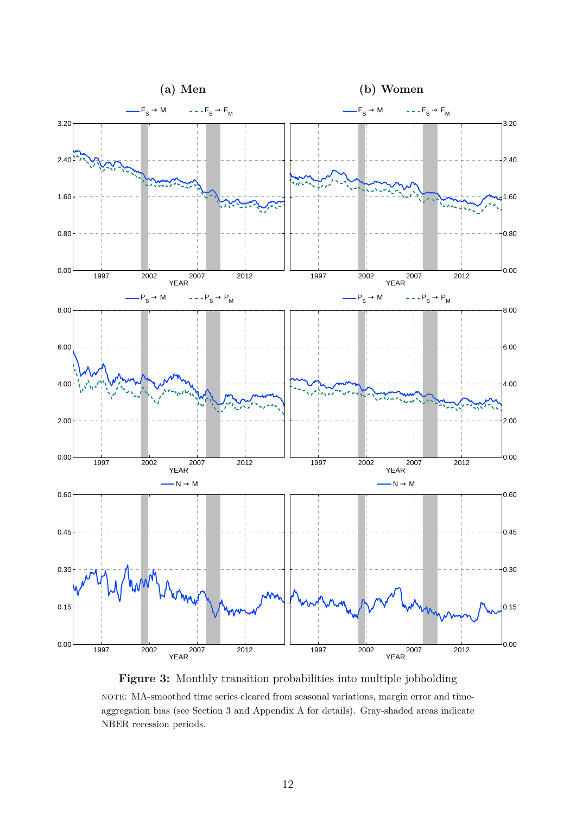<span id="page-13-0"></span>

**Figure 3:** Monthly transition probabilities into multiple jobholding note: MA-smoothed time series cleared from seasonal variations, margin error and timeaggregation bias (see Section [3](#page-9-0) and Appendix [A](#page-25-0) for details). Gray-shaded areas indicate NBER recession periods.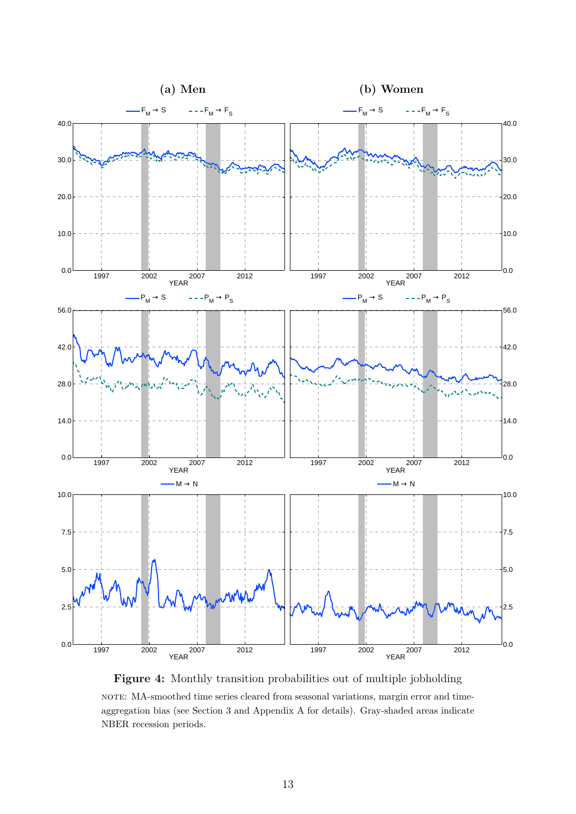<span id="page-14-0"></span>

**Figure 4:** Monthly transition probabilities out of multiple jobholding note: MA-smoothed time series cleared from seasonal variations, margin error and timeaggregation bias (see Section [3](#page-9-0) and Appendix [A](#page-25-0) for details). Gray-shaded areas indicate NBER recession periods.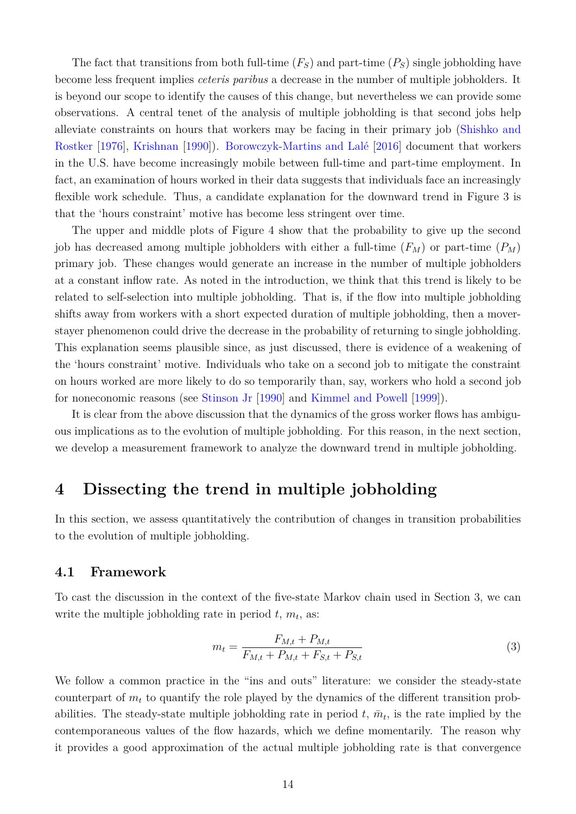The fact that transitions from both full-time  $(F_S)$  and part-time  $(P_S)$  single jobholding have become less frequent implies *ceteris paribus* a decrease in the number of multiple jobholders. It is beyond our scope to identify the causes of this change, but nevertheless we can provide some observations. A central tenet of the analysis of multiple jobholding is that second jobs help alleviate constraints on hours that workers may be facing in their primary job [\(Shishko and](#page-24-5) [Rostker](#page-24-5) [\[1976\]](#page-24-5), [Krishnan](#page-23-14) [\[1990\]](#page-23-14)). [Borowczyk-Martins and Lalé](#page-22-9) [\[2016\]](#page-22-9) document that workers in the U.S. have become increasingly mobile between full-time and part-time employment. In fact, an examination of hours worked in their data suggests that individuals face an increasingly flexible work schedule. Thus, a candidate explanation for the downward trend in Figure [3](#page-13-0) is that the 'hours constraint' motive has become less stringent over time.

The upper and middle plots of Figure [4](#page-14-0) show that the probability to give up the second job has decreased among multiple jobholders with either a full-time  $(F_M)$  or part-time  $(P_M)$ primary job. These changes would generate an increase in the number of multiple jobholders at a constant inflow rate. As noted in the introduction, we think that this trend is likely to be related to self-selection into multiple jobholding. That is, if the flow into multiple jobholding shifts away from workers with a short expected duration of multiple jobholding, then a moverstayer phenomenon could drive the decrease in the probability of returning to single jobholding. This explanation seems plausible since, as just discussed, there is evidence of a weakening of the 'hours constraint' motive. Individuals who take on a second job to mitigate the constraint on hours worked are more likely to do so temporarily than, say, workers who hold a second job for noneconomic reasons (see [Stinson Jr](#page-24-4) [\[1990\]](#page-24-4) and [Kimmel and Powell](#page-23-5) [\[1999\]](#page-23-5)).

It is clear from the above discussion that the dynamics of the gross worker flows has ambiguous implications as to the evolution of multiple jobholding. For this reason, in the next section, we develop a measurement framework to analyze the downward trend in multiple jobholding.

### <span id="page-15-0"></span>**4 Dissecting the trend in multiple jobholding**

In this section, we assess quantitatively the contribution of changes in transition probabilities to the evolution of multiple jobholding.

#### **4.1 Framework**

To cast the discussion in the context of the five-state Markov chain used in Section [3,](#page-9-0) we can write the multiple jobholding rate in period  $t, m_t$ , as:

<span id="page-15-1"></span>
$$
m_t = \frac{F_{M,t} + P_{M,t}}{F_{M,t} + P_{M,t} + F_{S,t} + P_{S,t}}
$$
\n(3)

We follow a common practice in the "ins and outs" literature: we consider the steady-state counterpart of  $m_t$  to quantify the role played by the dynamics of the different transition probabilities. The steady-state multiple jobholding rate in period  $t, \bar{m}_t$ , is the rate implied by the contemporaneous values of the flow hazards, which we define momentarily. The reason why it provides a good approximation of the actual multiple jobholding rate is that convergence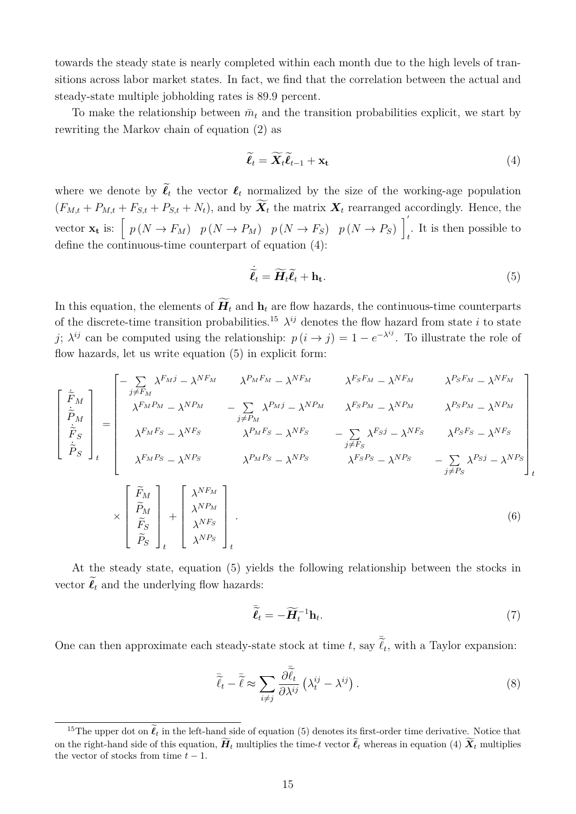towards the steady state is nearly completed within each month due to the high levels of transitions across labor market states. In fact, we find that the correlation between the actual and steady-state multiple jobholding rates is 89.9 percent.

To make the relationship between  $\bar{m}_t$  and the transition probabilities explicit, we start by rewriting the Markov chain of equation [\(2\)](#page-10-1) as

<span id="page-16-0"></span>
$$
\widetilde{\ell}_t = \widetilde{\mathbf{X}}_t \widetilde{\ell}_{t-1} + \mathbf{x_t} \tag{4}
$$

where we denote by  $\tilde{\ell}_t$  the vector  $\ell_t$  normalized by the size of the working-age population  $(F_{M,t} + P_{M,t} + F_{S,t} + P_{S,t} + N_t)$ , and by  $\widetilde{\mathbf{X}}_t$  the matrix  $\mathbf{X}_t$  rearranged accordingly. Hence, the vector  $\mathbf{x}_t$  is:  $\left[ p(N \to F_M) \mid p(N \to P_M) \mid p(N \to F_S) \mid p(N \to P_S) \mid \right]$ . It is then possible to  $t$ define the continuous-time counterpart of equation [\(4\)](#page-16-0):

<span id="page-16-1"></span>
$$
\dot{\tilde{\ell}}_t = \widetilde{H}_t \tilde{\ell}_t + \mathbf{h}_t. \tag{5}
$$

In this equation, the elements of  $\widetilde{H}_t$  and  $h_t$  are flow hazards, the continuous-time counterparts of the discrete-time transition probabilities.<sup>[15](#page--1-0)</sup>  $\lambda^{ij}$  denotes the flow hazard from state i to state j;  $\lambda^{ij}$  can be computed using the relationship:  $p(i \to j) = 1 - e^{-\lambda^{ij}}$ . To illustrate the role of flow hazards, let us write equation [\(5\)](#page-16-1) in explicit form:

$$
\begin{bmatrix}\n\dot{\tilde{F}}_{M} \\
\dot{\tilde{P}}_{M} \\
\dot{\tilde{F}}_{S} \\
\dot{\tilde{P}}_{S}\n\end{bmatrix}_{t} = \begin{bmatrix}\n-\sum_{j \neq F_{M}} \lambda^{F_{M}j} - \lambda^{NF_{M}} & \lambda^{F_{M}F_{M}} - \lambda^{NF_{M}} & \lambda^{F_{S}F_{M}} - \lambda^{NF_{M}} \\
\lambda^{F_{M}P_{M}} - \lambda^{NP_{M}} & -\sum_{j \neq P_{M}} \lambda^{P_{M}j} - \lambda^{NP_{M}} & \lambda^{F_{S}P_{M}} - \lambda^{NP_{M}} & \lambda^{P_{S}P_{M}} - \lambda^{NP_{M}} \\
\lambda^{F_{M}F_{S}} - \lambda^{NF_{S}} & \lambda^{P_{M}F_{S}} - \lambda^{NF_{S}} & -\sum_{j \neq F_{S}} \lambda^{F_{S}j} - \lambda^{NF_{S}} & \lambda^{P_{S}F_{S}} - \lambda^{NF_{S}} \\
\lambda^{F_{M}P_{S}} - \lambda^{NP_{S}} & \lambda^{P_{M}P_{S}} - \lambda^{NP_{S}} & \lambda^{F_{S}P_{S}} - \lambda^{NP_{S}} & -\sum_{j \neq P_{S}} \lambda^{P_{S}j} - \lambda^{NP_{S}} \\
\vdots \\
\tilde{P}_{S}\n\end{bmatrix}_{t} + \begin{bmatrix}\n\lambda^{N}F_{M} \\
\lambda^{N}F_{M} \\
\lambda^{NF_{S}} \\
\lambda^{NF_{S}} \\
\lambda^{NP_{S}}\n\end{bmatrix}_{t}.
$$
\n(6)

At the steady state, equation [\(5\)](#page-16-1) yields the following relationship between the stocks in vector  $\ell_t$  and the underlying flow hazards:

$$
\overline{\tilde{\ell}}_t = -\widetilde{H}_t^{-1} \mathbf{h}_t. \tag{7}
$$

One can then approximate each steady-state stock at time t, say  $\overline{t}_t$ , with a Taylor expansion:

<span id="page-16-2"></span>
$$
\overline{\tilde{\ell}}_t - \overline{\tilde{\ell}} \approx \sum_{i \neq j} \frac{\partial \overline{\tilde{\ell}}_t}{\partial \lambda^{ij}} \left( \lambda_t^{ij} - \lambda^{ij} \right). \tag{8}
$$

<sup>&</sup>lt;sup>15</sup>The upper dot on  $\tilde{\ell}_t$  in the left-hand side of equation [\(5\)](#page-16-1) denotes its first-order time derivative. Notice that on the right-hand side of this equation,  $\widetilde{H}_t$  multiplies the time-t vector  $\widetilde{\ell}_t$  whereas in equation [\(4\)](#page-16-0)  $\widetilde{X}_t$  multiplies the vector of stocks from time  $t - 1$ .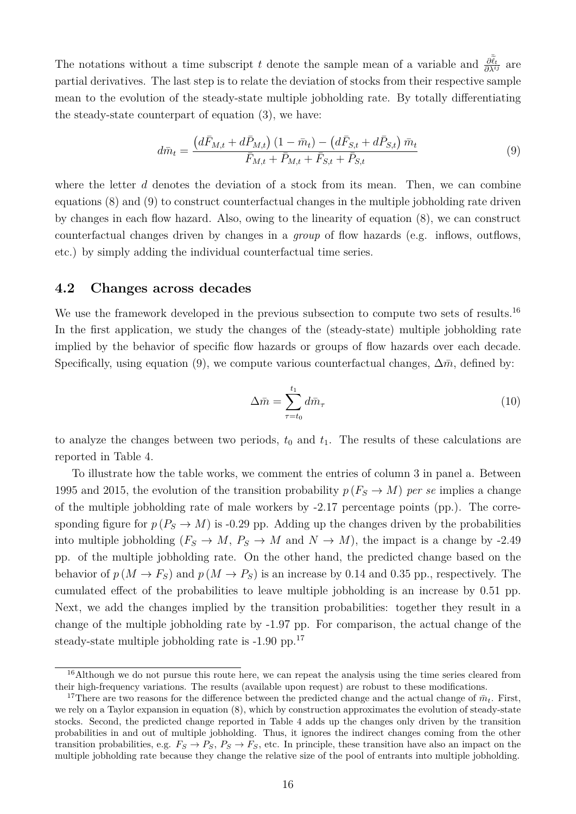The notations without a time subscript t denote the sample mean of a variable and  $\frac{\partial \tilde{\tilde{\ell}}_t}{\partial \lambda^{ij}}$  are partial derivatives. The last step is to relate the deviation of stocks from their respective sample mean to the evolution of the steady-state multiple jobholding rate. By totally differentiating the steady-state counterpart of equation [\(3\)](#page-15-1), we have:

<span id="page-17-0"></span>
$$
d\bar{m}_t = \frac{\left(d\bar{F}_{M,t} + d\bar{P}_{M,t}\right)\left(1 - \bar{m}_t\right) - \left(d\bar{F}_{S,t} + d\bar{P}_{S,t}\right)\bar{m}_t}{\bar{F}_{M,t} + \bar{P}_{M,t} + \bar{F}_{S,t} + \bar{P}_{S,t}}
$$
(9)

where the letter  $d$  denotes the deviation of a stock from its mean. Then, we can combine equations [\(8\)](#page-16-2) and [\(9\)](#page-17-0) to construct counterfactual changes in the multiple jobholding rate driven by changes in each flow hazard. Also, owing to the linearity of equation [\(8\)](#page-16-2), we can construct counterfactual changes driven by changes in a *group* of flow hazards (e.g. inflows, outflows, etc.) by simply adding the individual counterfactual time series.

#### <span id="page-17-1"></span>**4.2 Changes across decades**

We use the framework developed in the previous subsection to compute two sets of results.<sup>[16](#page--1-0)</sup> In the first application, we study the changes of the (steady-state) multiple jobholding rate implied by the behavior of specific flow hazards or groups of flow hazards over each decade. Specifically, using equation [\(9\)](#page-17-0), we compute various counterfactual changes,  $\Delta \bar{m}$ , defined by:

$$
\Delta \bar{m} = \sum_{\tau=t_0}^{t_1} d\bar{m}_{\tau} \tag{10}
$$

to analyze the changes between two periods,  $t_0$  and  $t_1$ . The results of these calculations are reported in Table [4.](#page-18-0)

To illustrate how the table works, we comment the entries of column 3 in panel a. Between 1995 and 2015, the evolution of the transition probability  $p(F_S \to M)$  *per se* implies a change of the multiple jobholding rate of male workers by -2.17 percentage points (pp.). The corresponding figure for  $p(P_S \to M)$  is -0.29 pp. Adding up the changes driven by the probabilities into multiple jobholding ( $F_S \rightarrow M$ ,  $P_S \rightarrow M$  and  $N \rightarrow M$ ), the impact is a change by -2.49 pp. of the multiple jobholding rate. On the other hand, the predicted change based on the behavior of  $p(M \to F_S)$  and  $p(M \to P_S)$  is an increase by 0.14 and 0.35 pp., respectively. The cumulated effect of the probabilities to leave multiple jobholding is an increase by 0.51 pp. Next, we add the changes implied by the transition probabilities: together they result in a change of the multiple jobholding rate by -1.97 pp. For comparison, the actual change of the steady-state multiple jobholding rate is -1.90 pp.<sup>[17](#page--1-0)</sup>

<sup>&</sup>lt;sup>16</sup>Although we do not pursue this route here, we can repeat the analysis using the time series cleared from their high-frequency variations. The results (available upon request) are robust to these modifications.

<sup>&</sup>lt;sup>17</sup>There are two reasons for the difference between the predicted change and the actual change of  $\bar{m}_t$ . First, we rely on a Taylor expansion in equation [\(8\)](#page-16-2), which by construction approximates the evolution of steady-state stocks. Second, the predicted change reported in Table [4](#page-18-0) adds up the changes only driven by the transition probabilities in and out of multiple jobholding. Thus, it ignores the indirect changes coming from the other transition probabilities, e.g.  $F_S \rightarrow P_S$ ,  $P_S \rightarrow F_S$ , etc. In principle, these transition have also an impact on the multiple jobholding rate because they change the relative size of the pool of entrants into multiple jobholding.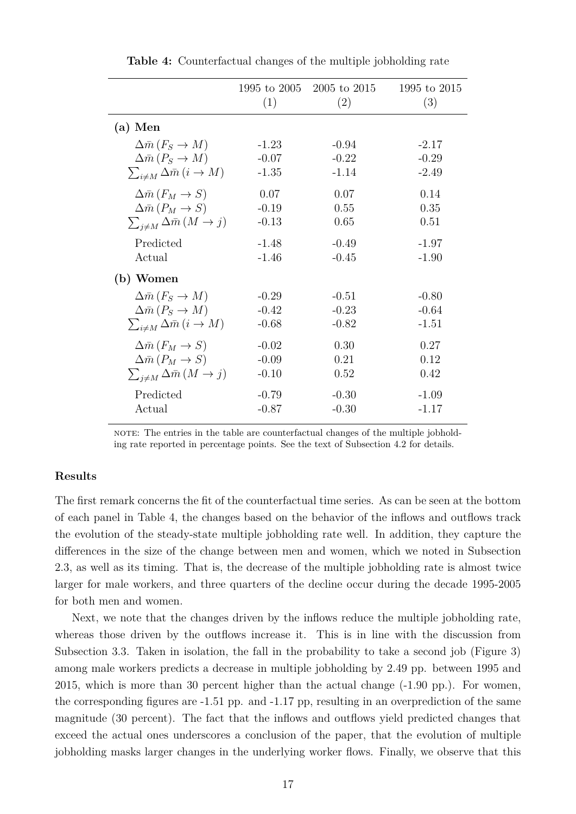<span id="page-18-0"></span>

|                                                    | 1995 to 2005<br>(1) | 2005 to 2015<br>(2) | 1995 to 2015<br>(3) |
|----------------------------------------------------|---------------------|---------------------|---------------------|
| $(a)$ Men                                          |                     |                     |                     |
| $\Delta \bar{m} (F_S \to M)$                       | $-1.23$             | $-0.94$             | $-2.17$             |
| $\Delta \bar{m} (P_S \to M)$                       | $-0.07$             | $-0.22$             | $-0.29$             |
| $\sum_{i \neq M} \Delta \bar{m} (i \rightarrow M)$ | $-1.35$             | $-1.14$             | $-2.49$             |
| $\Delta \bar{m} (F_M \rightarrow S)$               | 0.07                | 0.07                | 0.14                |
| $\Delta \bar{m} (P_M \rightarrow S)$               | $-0.19$             | 0.55                | 0.35                |
| $\sum_{i \neq M} \Delta \bar{m} (M \to j)$         | $-0.13$             | 0.65                | 0.51                |
| Predicted                                          | $-1.48$             | $-0.49$             | $-1.97$             |
| Actual                                             | $-1.46$             | $-0.45$             | $-1.90$             |
| (b) Women                                          |                     |                     |                     |
| $\Delta \bar{m} (F_S \to M)$                       | $-0.29$             | $-0.51$             | $-0.80$             |
| $\Delta \bar{m} (P_S \to M)$                       | $-0.42$             | $-0.23$             | $-0.64$             |
| $\sum_{i \neq M} \Delta \bar{m} (i \to M)$         | $-0.68$             | $-0.82$             | $-1.51$             |
| $\Delta \bar{m} (F_M \rightarrow S)$               | $-0.02$             | 0.30                | 0.27                |
| $\Delta \bar{m} (P_M \rightarrow S)$               | $-0.09$             | 0.21                | 0.12                |
| $\sum_{i \neq M} \Delta \bar{m} (M \to j)$         | $-0.10$             | 0.52                | 0.42                |
| Predicted                                          | $-0.79$             | $-0.30$             | $-1.09$             |
| Actual                                             | $-0.87$             | $-0.30$             | $-1.17$             |

**Table 4:** Counterfactual changes of the multiple jobholding rate

note: The entries in the table are counterfactual changes of the multiple jobholding rate reported in percentage points. See the text of Subsection [4.2](#page-17-1) for details.

#### **Results**

The first remark concerns the fit of the counterfactual time series. As can be seen at the bottom of each panel in Table [4,](#page-18-0) the changes based on the behavior of the inflows and outflows track the evolution of the steady-state multiple jobholding rate well. In addition, they capture the differences in the size of the change between men and women, which we noted in Subsection [2.3,](#page-7-0) as well as its timing. That is, the decrease of the multiple jobholding rate is almost twice larger for male workers, and three quarters of the decline occur during the decade 1995-2005 for both men and women.

Next, we note that the changes driven by the inflows reduce the multiple jobholding rate, whereas those driven by the outflows increase it. This is in line with the discussion from Subsection [3.3.](#page-11-0) Taken in isolation, the fall in the probability to take a second job (Figure [3\)](#page-13-0) among male workers predicts a decrease in multiple jobholding by 2.49 pp. between 1995 and 2015, which is more than 30 percent higher than the actual change (-1.90 pp.). For women, the corresponding figures are -1.51 pp. and -1.17 pp, resulting in an overprediction of the same magnitude (30 percent). The fact that the inflows and outflows yield predicted changes that exceed the actual ones underscores a conclusion of the paper, that the evolution of multiple jobholding masks larger changes in the underlying worker flows. Finally, we observe that this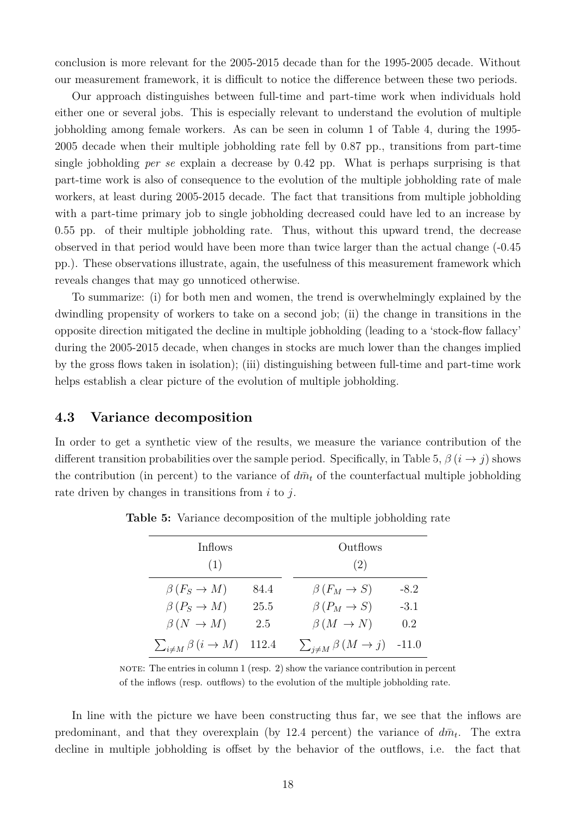conclusion is more relevant for the 2005-2015 decade than for the 1995-2005 decade. Without our measurement framework, it is difficult to notice the difference between these two periods.

Our approach distinguishes between full-time and part-time work when individuals hold either one or several jobs. This is especially relevant to understand the evolution of multiple jobholding among female workers. As can be seen in column 1 of Table [4,](#page-18-0) during the 1995- 2005 decade when their multiple jobholding rate fell by 0.87 pp., transitions from part-time single jobholding *per se* explain a decrease by 0.42 pp. What is perhaps surprising is that part-time work is also of consequence to the evolution of the multiple jobholding rate of male workers, at least during 2005-2015 decade. The fact that transitions from multiple jobholding with a part-time primary job to single jobholding decreased could have led to an increase by 0.55 pp. of their multiple jobholding rate. Thus, without this upward trend, the decrease observed in that period would have been more than twice larger than the actual change (-0.45 pp.). These observations illustrate, again, the usefulness of this measurement framework which reveals changes that may go unnoticed otherwise.

To summarize: (i) for both men and women, the trend is overwhelmingly explained by the dwindling propensity of workers to take on a second job; (ii) the change in transitions in the opposite direction mitigated the decline in multiple jobholding (leading to a 'stock-flow fallacy' during the 2005-2015 decade, when changes in stocks are much lower than the changes implied by the gross flows taken in isolation); (iii) distinguishing between full-time and part-time work helps establish a clear picture of the evolution of multiple jobholding.

#### **4.3 Variance decomposition**

<span id="page-19-0"></span>In order to get a synthetic view of the results, we measure the variance contribution of the different transition probabilities over the sample period. Specifically, in Table [5,](#page-19-0)  $\beta$  ( $i \rightarrow j$ ) shows the contribution (in percent) to the variance of  $d\bar{m}_t$  of the counterfactual multiple jobholding rate driven by changes in transitions from  $i$  to  $j$ .

| Inflows                                  |       | Outflows                                        |        |
|------------------------------------------|-------|-------------------------------------------------|--------|
| (1)                                      |       | (2)                                             |        |
| $\beta(F_S \to M)$                       | 84.4  | $\beta(F_M \to S)$                              | $-8.2$ |
| $\beta(P_S \to M)$                       | 25.5  | $\beta(P_M \to S)$                              | $-3.1$ |
| $\beta(N \rightarrow M)$                 | 2.5   | $\beta(M \to N)$                                | 0.2    |
| $\sum_{i \neq M} \beta(i \rightarrow M)$ | 112.4 | $\sum_{j \neq M} \beta (M \rightarrow j)$ -11.0 |        |

**Table 5:** Variance decomposition of the multiple jobholding rate

NOTE: The entries in column  $1$  (resp.  $2$ ) show the variance contribution in percent of the inflows (resp. outflows) to the evolution of the multiple jobholding rate.

In line with the picture we have been constructing thus far, we see that the inflows are predominant, and that they overexplain (by 12.4 percent) the variance of  $d\bar{m}_t$ . The extra decline in multiple jobholding is offset by the behavior of the outflows, i.e. the fact that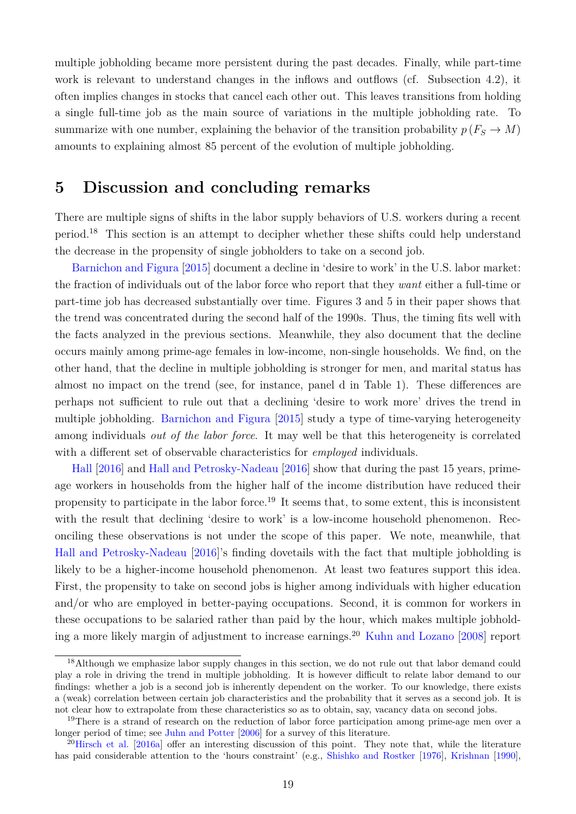multiple jobholding became more persistent during the past decades. Finally, while part-time work is relevant to understand changes in the inflows and outflows (cf. Subsection [4.2\)](#page-17-1), it often implies changes in stocks that cancel each other out. This leaves transitions from holding a single full-time job as the main source of variations in the multiple jobholding rate. To summarize with one number, explaining the behavior of the transition probability  $p(F_S \to M)$ amounts to explaining almost 85 percent of the evolution of multiple jobholding.

# <span id="page-20-0"></span>**5 Discussion and concluding remarks**

There are multiple signs of shifts in the labor supply behaviors of U.S. workers during a recent period.[18](#page--1-0) This section is an attempt to decipher whether these shifts could help understand the decrease in the propensity of single jobholders to take on a second job.

[Barnichon and Figura](#page-22-8) [\[2015\]](#page-22-8) document a decline in 'desire to work' in the U.S. labor market: the fraction of individuals out of the labor force who report that they *want* either a full-time or part-time job has decreased substantially over time. Figures 3 and 5 in their paper shows that the trend was concentrated during the second half of the 1990s. Thus, the timing fits well with the facts analyzed in the previous sections. Meanwhile, they also document that the decline occurs mainly among prime-age females in low-income, non-single households. We find, on the other hand, that the decline in multiple jobholding is stronger for men, and marital status has almost no impact on the trend (see, for instance, panel d in Table [1\)](#page-8-0). These differences are perhaps not sufficient to rule out that a declining 'desire to work more' drives the trend in multiple jobholding. [Barnichon and Figura](#page-22-8) [\[2015\]](#page-22-8) study a type of time-varying heterogeneity among individuals *out of the labor force*. It may well be that this heterogeneity is correlated with a different set of observable characteristics for *employed* individuals.

[Hall](#page-22-11) [\[2016\]](#page-22-11) and [Hall and Petrosky-Nadeau](#page-22-12) [\[2016\]](#page-22-12) show that during the past 15 years, primeage workers in households from the higher half of the income distribution have reduced their propensity to participate in the labor force.<sup>[19](#page--1-0)</sup> It seems that, to some extent, this is inconsistent with the result that declining 'desire to work' is a low-income household phenomenon. Reconciling these observations is not under the scope of this paper. We note, meanwhile, that [Hall and Petrosky-Nadeau](#page-22-12) [\[2016\]](#page-22-12)'s finding dovetails with the fact that multiple jobholding is likely to be a higher-income household phenomenon. At least two features support this idea. First, the propensity to take on second jobs is higher among individuals with higher education and/or who are employed in better-paying occupations. Second, it is common for workers in these occupations to be salaried rather than paid by the hour, which makes multiple jobhold-ing a more likely margin of adjustment to increase earnings.<sup>[20](#page--1-0)</sup> [Kuhn and Lozano](#page-23-13) [\[2008\]](#page-23-13) report

<sup>&</sup>lt;sup>18</sup>Although we emphasize labor supply changes in this section, we do not rule out that labor demand could play a role in driving the trend in multiple jobholding. It is however difficult to relate labor demand to our findings: whether a job is a second job is inherently dependent on the worker. To our knowledge, there exists a (weak) correlation between certain job characteristics and the probability that it serves as a second job. It is not clear how to extrapolate from these characteristics so as to obtain, say, vacancy data on second jobs.

<sup>&</sup>lt;sup>19</sup>There is a strand of research on the reduction of labor force participation among prime-age men over a longer period of time; see [Juhn and Potter](#page-22-14) [\[2006\]](#page-22-14) for a survey of this literature.

 $^{20}$ [Hirsch et al.](#page-22-6) [\[2016a\]](#page-22-6) offer an interesting discussion of this point. They note that, while the literature has paid considerable attention to the 'hours constraint' (e.g., [Shishko and Rostker](#page-24-5) [\[1976\]](#page-24-5), [Krishnan](#page-23-14) [\[1990\]](#page-23-14),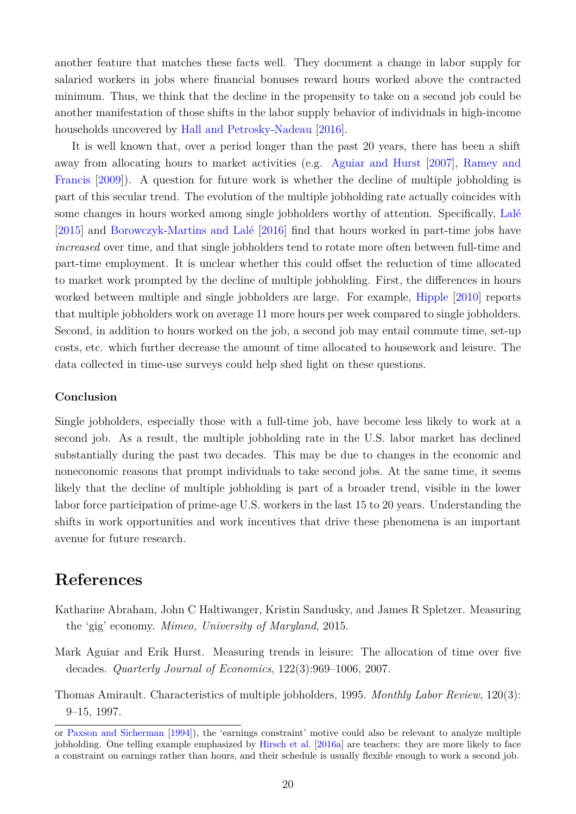another feature that matches these facts well. They document a change in labor supply for salaried workers in jobs where financial bonuses reward hours worked above the contracted minimum. Thus, we think that the decline in the propensity to take on a second job could be another manifestation of those shifts in the labor supply behavior of individuals in high-income households uncovered by [Hall and Petrosky-Nadeau](#page-22-12) [\[2016\]](#page-22-12).

It is well known that, over a period longer than the past 20 years, there has been a shift away from allocating hours to market activities (e.g. [Aguiar and Hurst](#page-21-2) [\[2007\]](#page-21-2), [Ramey and](#page-23-15) [Francis](#page-23-15) [\[2009\]](#page-23-15)). A question for future work is whether the decline of multiple jobholding is part of this secular trend. The evolution of the multiple jobholding rate actually coincides with some changes in hours worked among single jobholders worthy of attention. Specifically, [Lalé](#page-23-9) [\[2015\]](#page-23-9) and [Borowczyk-Martins and Lalé](#page-22-9) [\[2016\]](#page-22-9) find that hours worked in part-time jobs have *increased* over time, and that single jobholders tend to rotate more often between full-time and part-time employment. It is unclear whether this could offset the reduction of time allocated to market work prompted by the decline of multiple jobholding. First, the differences in hours worked between multiple and single jobholders are large. For example, [Hipple](#page-22-15) [\[2010\]](#page-22-15) reports that multiple jobholders work on average 11 more hours per week compared to single jobholders. Second, in addition to hours worked on the job, a second job may entail commute time, set-up costs, etc. which further decrease the amount of time allocated to housework and leisure. The data collected in time-use surveys could help shed light on these questions.

#### **Conclusion**

Single jobholders, especially those with a full-time job, have become less likely to work at a second job. As a result, the multiple jobholding rate in the U.S. labor market has declined substantially during the past two decades. This may be due to changes in the economic and noneconomic reasons that prompt individuals to take second jobs. At the same time, it seems likely that the decline of multiple jobholding is part of a broader trend, visible in the lower labor force participation of prime-age U.S. workers in the last 15 to 20 years. Understanding the shifts in work opportunities and work incentives that drive these phenomena is an important avenue for future research.

# **References**

- <span id="page-21-0"></span>Katharine Abraham, John C Haltiwanger, Kristin Sandusky, and James R Spletzer. Measuring the 'gig' economy. *Mimeo, University of Maryland*, 2015.
- <span id="page-21-2"></span>Mark Aguiar and Erik Hurst. Measuring trends in leisure: The allocation of time over five decades. *Quarterly Journal of Economics*, 122(3):969–1006, 2007.
- <span id="page-21-1"></span>Thomas Amirault. Characteristics of multiple jobholders, 1995. *Monthly Labor Review*, 120(3): 9–15, 1997.

or [Paxson and Sicherman](#page-23-2) [\[1994\]](#page-23-2)), the 'earnings constraint' motive could also be relevant to analyze multiple jobholding. One telling example emphasized by [Hirsch et al.](#page-22-6) [\[2016a\]](#page-22-6) are teachers: they are more likely to face a constraint on earnings rather than hours, and their schedule is usually flexible enough to work a second job.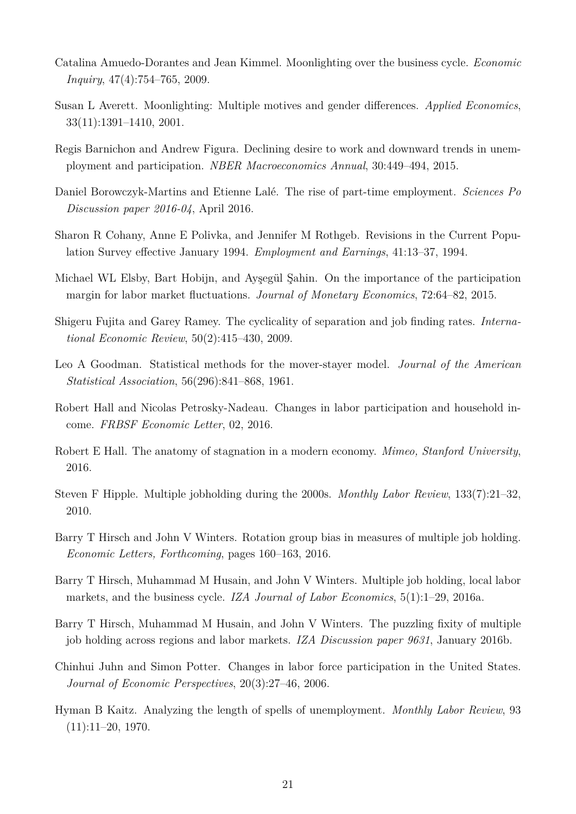- <span id="page-22-5"></span>Catalina Amuedo-Dorantes and Jean Kimmel. Moonlighting over the business cycle. *Economic Inquiry*, 47(4):754–765, 2009.
- <span id="page-22-0"></span>Susan L Averett. Moonlighting: Multiple motives and gender differences. *Applied Economics*, 33(11):1391–1410, 2001.
- <span id="page-22-8"></span>Regis Barnichon and Andrew Figura. Declining desire to work and downward trends in unemployment and participation. *NBER Macroeconomics Annual*, 30:449–494, 2015.
- <span id="page-22-9"></span>Daniel Borowczyk-Martins and Etienne Lalé. The rise of part-time employment. *Sciences Po Discussion paper 2016-04*, April 2016.
- <span id="page-22-13"></span>Sharon R Cohany, Anne E Polivka, and Jennifer M Rothgeb. Revisions in the Current Population Survey effective January 1994. *Employment and Earnings*, 41:13–37, 1994.
- <span id="page-22-2"></span>Michael WL Elsby, Bart Hobijn, and Ayşegül Şahin. On the importance of the participation margin for labor market fluctuations. *Journal of Monetary Economics*, 72:64–82, 2015.
- <span id="page-22-1"></span>Shigeru Fujita and Garey Ramey. The cyclicality of separation and job finding rates. *International Economic Review*, 50(2):415–430, 2009.
- <span id="page-22-3"></span>Leo A Goodman. Statistical methods for the mover-stayer model. *Journal of the American Statistical Association*, 56(296):841–868, 1961.
- <span id="page-22-12"></span>Robert Hall and Nicolas Petrosky-Nadeau. Changes in labor participation and household income. *FRBSF Economic Letter*, 02, 2016.
- <span id="page-22-11"></span>Robert E Hall. The anatomy of stagnation in a modern economy. *Mimeo, Stanford University*, 2016.
- <span id="page-22-15"></span>Steven F Hipple. Multiple jobholding during the 2000s. *Monthly Labor Review*, 133(7):21–32, 2010.
- <span id="page-22-7"></span>Barry T Hirsch and John V Winters. Rotation group bias in measures of multiple job holding. *Economic Letters, Forthcoming*, pages 160–163, 2016.
- <span id="page-22-6"></span>Barry T Hirsch, Muhammad M Husain, and John V Winters. Multiple job holding, local labor markets, and the business cycle. *IZA Journal of Labor Economics*, 5(1):1–29, 2016a.
- <span id="page-22-4"></span>Barry T Hirsch, Muhammad M Husain, and John V Winters. The puzzling fixity of multiple job holding across regions and labor markets. *IZA Discussion paper 9631*, January 2016b.
- <span id="page-22-14"></span>Chinhui Juhn and Simon Potter. Changes in labor force participation in the United States. *Journal of Economic Perspectives*, 20(3):27–46, 2006.
- <span id="page-22-10"></span>Hyman B Kaitz. Analyzing the length of spells of unemployment. *Monthly Labor Review*, 93  $(11):11-20, 1970.$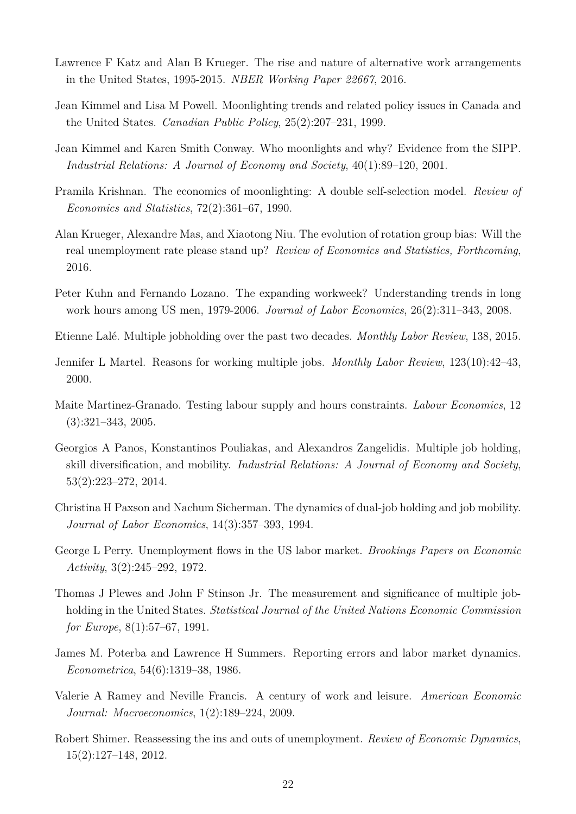- <span id="page-23-8"></span>Lawrence F Katz and Alan B Krueger. The rise and nature of alternative work arrangements in the United States, 1995-2015. *NBER Working Paper 22667*, 2016.
- <span id="page-23-5"></span>Jean Kimmel and Lisa M Powell. Moonlighting trends and related policy issues in Canada and the United States. *Canadian Public Policy*, 25(2):207–231, 1999.
- <span id="page-23-1"></span>Jean Kimmel and Karen Smith Conway. Who moonlights and why? Evidence from the SIPP. *Industrial Relations: A Journal of Economy and Society*, 40(1):89–120, 2001.
- <span id="page-23-14"></span>Pramila Krishnan. The economics of moonlighting: A double self-selection model. *Review of Economics and Statistics*, 72(2):361–67, 1990.
- <span id="page-23-10"></span>Alan Krueger, Alexandre Mas, and Xiaotong Niu. The evolution of rotation group bias: Will the real unemployment rate please stand up? *Review of Economics and Statistics, Forthcoming*, 2016.
- <span id="page-23-13"></span>Peter Kuhn and Fernando Lozano. The expanding workweek? Understanding trends in long work hours among US men, 1979-2006. *Journal of Labor Economics*, 26(2):311–343, 2008.
- <span id="page-23-9"></span>Etienne Lalé. Multiple jobholding over the past two decades. *Monthly Labor Review*, 138, 2015.
- <span id="page-23-6"></span>Jennifer L Martel. Reasons for working multiple jobs. *Monthly Labor Review*, 123(10):42–43, 2000.
- <span id="page-23-3"></span>Maite Martinez-Granado. Testing labour supply and hours constraints. *Labour Economics*, 12 (3):321–343, 2005.
- <span id="page-23-4"></span>Georgios A Panos, Konstantinos Pouliakas, and Alexandros Zangelidis. Multiple job holding, skill diversification, and mobility. *Industrial Relations: A Journal of Economy and Society*, 53(2):223–272, 2014.
- <span id="page-23-2"></span>Christina H Paxson and Nachum Sicherman. The dynamics of dual-job holding and job mobility. *Journal of Labor Economics*, 14(3):357–393, 1994.
- <span id="page-23-12"></span>George L Perry. Unemployment flows in the US labor market. *Brookings Papers on Economic Activity*, 3(2):245–292, 1972.
- <span id="page-23-0"></span>Thomas J Plewes and John F Stinson Jr. The measurement and significance of multiple jobholding in the United States. *Statistical Journal of the United Nations Economic Commission for Europe*, 8(1):57–67, 1991.
- <span id="page-23-11"></span>James M. Poterba and Lawrence H Summers. Reporting errors and labor market dynamics. *Econometrica*, 54(6):1319–38, 1986.
- <span id="page-23-15"></span>Valerie A Ramey and Neville Francis. A century of work and leisure. *American Economic Journal: Macroeconomics*, 1(2):189–224, 2009.
- <span id="page-23-7"></span>Robert Shimer. Reassessing the ins and outs of unemployment. *Review of Economic Dynamics*, 15(2):127–148, 2012.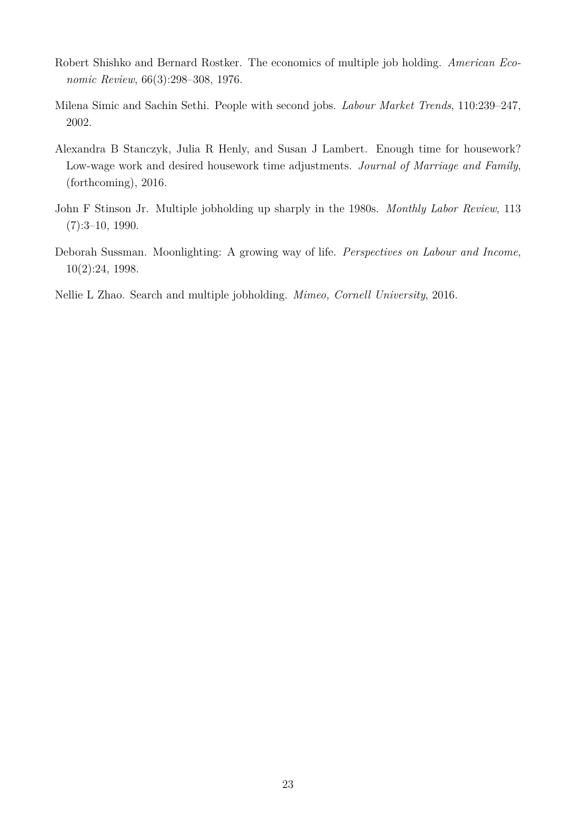- <span id="page-24-5"></span>Robert Shishko and Bernard Rostker. The economics of multiple job holding. *American Economic Review*, 66(3):298–308, 1976.
- <span id="page-24-2"></span>Milena Simic and Sachin Sethi. People with second jobs. *Labour Market Trends*, 110:239–247, 2002.
- <span id="page-24-0"></span>Alexandra B Stanczyk, Julia R Henly, and Susan J Lambert. Enough time for housework? Low-wage work and desired housework time adjustments. *Journal of Marriage and Family*, (forthcoming), 2016.
- <span id="page-24-4"></span>John F Stinson Jr. Multiple jobholding up sharply in the 1980s. *Monthly Labor Review*, 113 (7):3–10, 1990.
- <span id="page-24-1"></span>Deborah Sussman. Moonlighting: A growing way of life. *Perspectives on Labour and Income*, 10(2):24, 1998.
- <span id="page-24-3"></span>Nellie L Zhao. Search and multiple jobholding. *Mimeo, Cornell University*, 2016.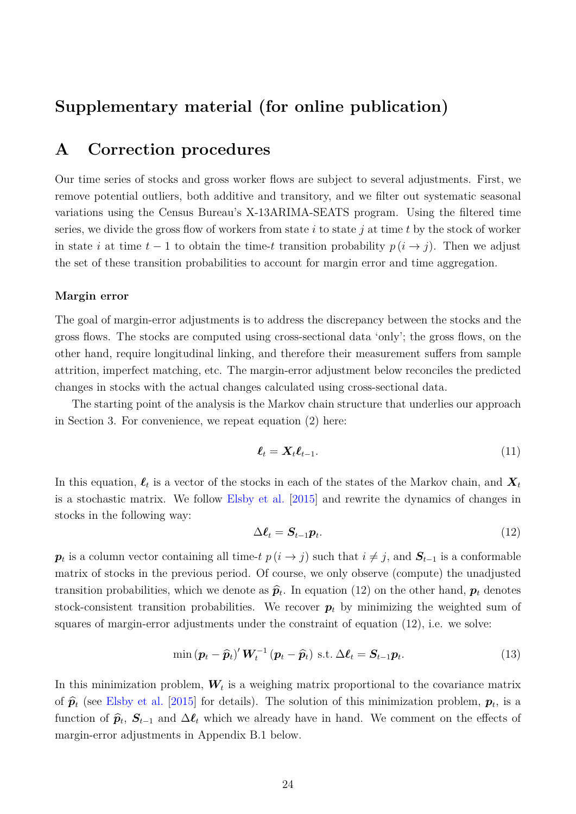# **Supplementary material (for online publication)**

# <span id="page-25-0"></span>**A Correction procedures**

Our time series of stocks and gross worker flows are subject to several adjustments. First, we remove potential outliers, both additive and transitory, and we filter out systematic seasonal variations using the Census Bureau's X-13ARIMA-SEATS program. Using the filtered time series, we divide the gross flow of workers from state i to state j at time t by the stock of worker in state i at time  $t-1$  to obtain the time-t transition probability  $p(i \rightarrow j)$ . Then we adjust the set of these transition probabilities to account for margin error and time aggregation.

#### **Margin error**

The goal of margin-error adjustments is to address the discrepancy between the stocks and the gross flows. The stocks are computed using cross-sectional data 'only'; the gross flows, on the other hand, require longitudinal linking, and therefore their measurement suffers from sample attrition, imperfect matching, etc. The margin-error adjustment below reconciles the predicted changes in stocks with the actual changes calculated using cross-sectional data.

The starting point of the analysis is the Markov chain structure that underlies our approach in Section [3.](#page-9-0) For convenience, we repeat equation [\(2\)](#page-10-1) here:

$$
\ell_t = \mathbf{X}_t \ell_{t-1}.\tag{11}
$$

In this equation,  $\ell_t$  is a vector of the stocks in each of the states of the Markov chain, and  $X_t$ is a stochastic matrix. We follow [Elsby et al.](#page-22-2) [\[2015\]](#page-22-2) and rewrite the dynamics of changes in stocks in the following way:

<span id="page-25-1"></span>
$$
\Delta \ell_t = S_{t-1} p_t. \tag{12}
$$

 $p_t$  is a column vector containing all time-t  $p(i \to j)$  such that  $i \neq j$ , and  $S_{t-1}$  is a conformable matrix of stocks in the previous period. Of course, we only observe (compute) the unadjusted transition probabilities, which we denote as  $\hat{\mathbf{p}}_t$ . In equation [\(12\)](#page-25-1) on the other hand,  $\mathbf{p}_t$  denotes stock-consistent transition probabilities. We recover  $p_t$  by minimizing the weighted sum of squares of margin-error adjustments under the constraint of equation [\(12\)](#page-25-1), i.e. we solve:

$$
\min\left(\boldsymbol{p}_t-\widehat{\boldsymbol{p}}_t\right)^{\prime}\boldsymbol{W}_t^{-1}\left(\boldsymbol{p}_t-\widehat{\boldsymbol{p}}_t\right) \text{ s.t. } \Delta \boldsymbol{\ell}_t = \boldsymbol{S}_{t-1}\boldsymbol{p}_t. \tag{13}
$$

In this minimization problem,  $W_t$  is a weighing matrix proportional to the covariance matrix of  $\hat{\mathbf{p}}_t$  (see [Elsby et al.](#page-22-2) [\[2015\]](#page-22-2) for details). The solution of this minimization problem,  $\mathbf{p}_t$ , is a function of  $\hat{\mathbf{p}}_t$ ,  $\mathbf{S}_{t-1}$  and  $\Delta \mathbf{\ell}_t$  which we already have in hand. We comment on the effects of margin-error adjustments in Appendix [B.1](#page-26-0) below.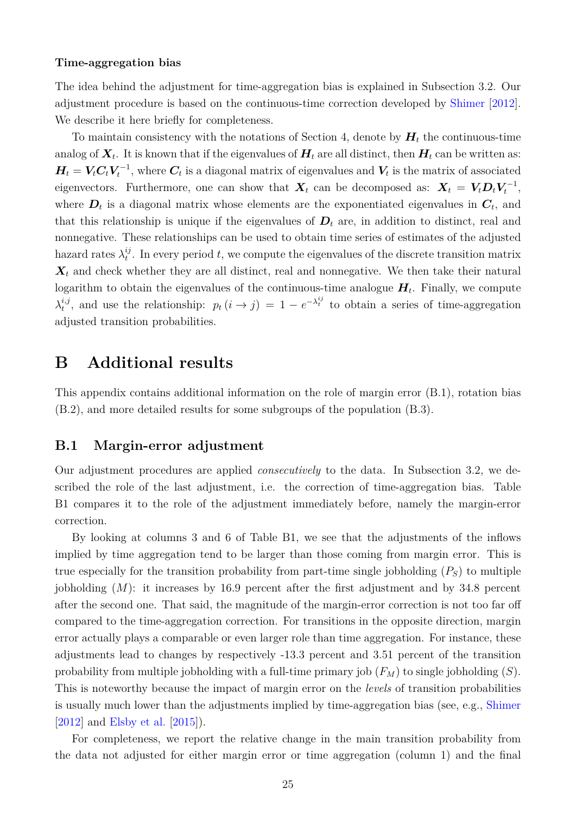#### **Time-aggregation bias**

The idea behind the adjustment for time-aggregation bias is explained in Subsection [3.2.](#page-10-2) Our adjustment procedure is based on the continuous-time correction developed by [Shimer](#page-23-7) [\[2012\]](#page-23-7). We describe it here briefly for completeness.

To maintain consistency with the notations of Section [4,](#page-15-0) denote by  $H_t$  the continuous-time analog of  $\bm{X}_{t}.$  It is known that if the eigenvalues of  $\bm{H}_{t}$  are all distinct, then  $\bm{H}_{t}$  can be written as:  $H_t = V_t C_t V_t^{-1}$ , where  $C_t$  is a diagonal matrix of eigenvalues and  $V_t$  is the matrix of associated eigenvectors. Furthermore, one can show that  $\boldsymbol{X}_t$  can be decomposed as:  $\boldsymbol{X}_t = \boldsymbol{V}_t \boldsymbol{D}_t \boldsymbol{V}_t^{-1}$ , where  $D_t$  is a diagonal matrix whose elements are the exponentiated eigenvalues in  $C_t$ , and that this relationship is unique if the eigenvalues of  $D_t$  are, in addition to distinct, real and nonnegative. These relationships can be used to obtain time series of estimates of the adjusted hazard rates  $\lambda_t^{ij}$  $t<sub>t</sub><sup>i</sup>$ . In every period t, we compute the eigenvalues of the discrete transition matrix  $\mathbf{X}_t$  and check whether they are all distinct, real and nonnegative. We then take their natural logarithm to obtain the eigenvalues of the continuous-time analogue  $H_t$ . Finally, we compute  $\lambda_t^{i,j}$ <sup>*i,j*</sup>, and use the relationship:  $p_t(i \to j) = 1 - e^{-\lambda_t^{ij}}$  to obtain a series of time-aggregation adjusted transition probabilities.

### **B Additional results**

This appendix contains additional information on the role of margin error [\(B.1\)](#page-26-0), rotation bias [\(B.2\)](#page-27-0), and more detailed results for some subgroups of the population [\(B.3\)](#page-30-0).

#### <span id="page-26-0"></span>**B.1 Margin-error adjustment**

Our adjustment procedures are applied *consecutively* to the data. In Subsection [3.2,](#page-10-2) we described the role of the last adjustment, i.e. the correction of time-aggregation bias. Table [B1](#page-27-1) compares it to the role of the adjustment immediately before, namely the margin-error correction.

By looking at columns 3 and 6 of Table [B1,](#page-27-1) we see that the adjustments of the inflows implied by time aggregation tend to be larger than those coming from margin error. This is true especially for the transition probability from part-time single jobholding  $(P<sub>S</sub>)$  to multiple jobholding  $(M)$ : it increases by 16.9 percent after the first adjustment and by 34.8 percent after the second one. That said, the magnitude of the margin-error correction is not too far off compared to the time-aggregation correction. For transitions in the opposite direction, margin error actually plays a comparable or even larger role than time aggregation. For instance, these adjustments lead to changes by respectively -13.3 percent and 3.51 percent of the transition probability from multiple jobholding with a full-time primary job  $(F_M)$  to single jobholding  $(S)$ . This is noteworthy because the impact of margin error on the *levels* of transition probabilities is usually much lower than the adjustments implied by time-aggregation bias (see, e.g., [Shimer](#page-23-7) [\[2012\]](#page-23-7) and [Elsby et al.](#page-22-2) [\[2015\]](#page-22-2)).

For completeness, we report the relative change in the main transition probability from the data not adjusted for either margin error or time aggregation (column 1) and the final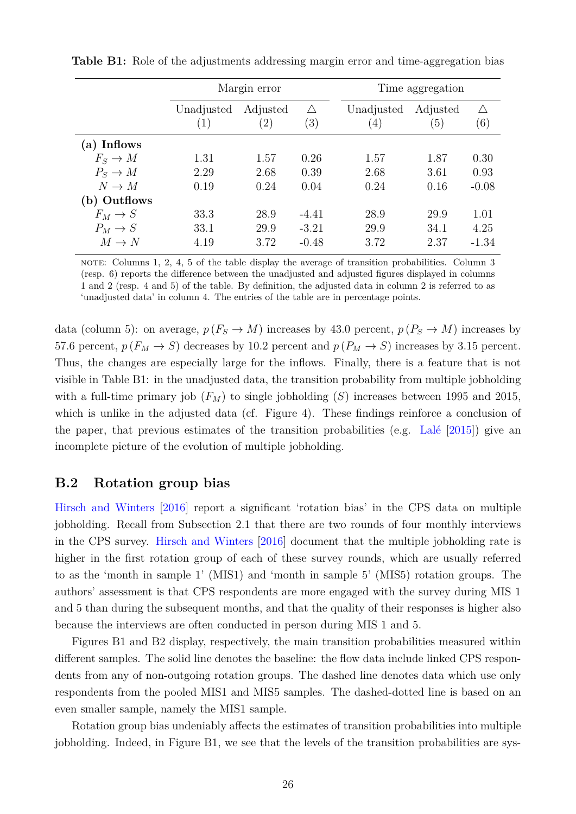|              |                                    | Margin error |         | Time aggregation |                  |         |
|--------------|------------------------------------|--------------|---------|------------------|------------------|---------|
|              | $\wedge$<br>Adjusted<br>Unadjusted |              |         | Unadjusted       | Adjusted         | ∧       |
|              | (1)                                | (2)          | (3)     | $\left(4\right)$ | $\left(5\right)$ | (6)     |
| (a) Inflows  |                                    |              |         |                  |                  |         |
| $F_S \to M$  | 1.31                               | 1.57         | 0.26    | 1.57             | 1.87             | 0.30    |
| $P_S \to M$  | 2.29                               | 2.68         | 0.39    | 2.68             | 3.61             | 0.93    |
| $N \to M$    | 0.19                               | 0.24         | 0.04    | 0.24             | 0.16             | $-0.08$ |
| (b) Outflows |                                    |              |         |                  |                  |         |
| $F_M \to S$  | 33.3                               | 28.9         | $-4.41$ | 28.9             | 29.9             | 1.01    |
| $P_M \to S$  | 33.1                               | 29.9         | $-3.21$ | 29.9             | 34.1             | 4.25    |
| $M \to N$    | 4.19                               | 3.72         | $-0.48$ | 3.72             | 2.37             | $-1.34$ |

<span id="page-27-1"></span>**Table B1:** Role of the adjustments addressing margin error and time-aggregation bias

note: Columns 1, 2, 4, 5 of the table display the average of transition probabilities. Column 3 (resp. 6) reports the difference between the unadjusted and adjusted figures displayed in columns 1 and 2 (resp. 4 and 5) of the table. By definition, the adjusted data in column 2 is referred to as 'unadjusted data' in column 4. The entries of the table are in percentage points.

data (column 5): on average,  $p(F_S \to M)$  increases by 43.0 percent,  $p(P_S \to M)$  increases by 57.6 percent,  $p(F_M \to S)$  decreases by 10.2 percent and  $p(P_M \to S)$  increases by 3.15 percent. Thus, the changes are especially large for the inflows. Finally, there is a feature that is not visible in Table [B1:](#page-27-1) in the unadjusted data, the transition probability from multiple jobholding with a full-time primary job  $(F_M)$  to single jobholding  $(S)$  increases between 1995 and 2015, which is unlike in the adjusted data (cf. Figure [4\)](#page-14-0). These findings reinforce a conclusion of the paper, that previous estimates of the transition probabilities (e.g. [Lalé](#page-23-9)  $[2015]$ ) give an incomplete picture of the evolution of multiple jobholding.

### <span id="page-27-0"></span>**B.2 Rotation group bias**

[Hirsch and Winters](#page-22-7) [\[2016\]](#page-22-7) report a significant 'rotation bias' in the CPS data on multiple jobholding. Recall from Subsection [2.1](#page-6-1) that there are two rounds of four monthly interviews in the CPS survey. [Hirsch and Winters](#page-22-7) [\[2016\]](#page-22-7) document that the multiple jobholding rate is higher in the first rotation group of each of these survey rounds, which are usually referred to as the 'month in sample 1' (MIS1) and 'month in sample 5' (MIS5) rotation groups. The authors' assessment is that CPS respondents are more engaged with the survey during MIS 1 and 5 than during the subsequent months, and that the quality of their responses is higher also because the interviews are often conducted in person during MIS 1 and 5.

Figures [B1](#page-28-0) and [B2](#page-29-0) display, respectively, the main transition probabilities measured within different samples. The solid line denotes the baseline: the flow data include linked CPS respondents from any of non-outgoing rotation groups. The dashed line denotes data which use only respondents from the pooled MIS1 and MIS5 samples. The dashed-dotted line is based on an even smaller sample, namely the MIS1 sample.

Rotation group bias undeniably affects the estimates of transition probabilities into multiple jobholding. Indeed, in Figure [B1,](#page-28-0) we see that the levels of the transition probabilities are sys-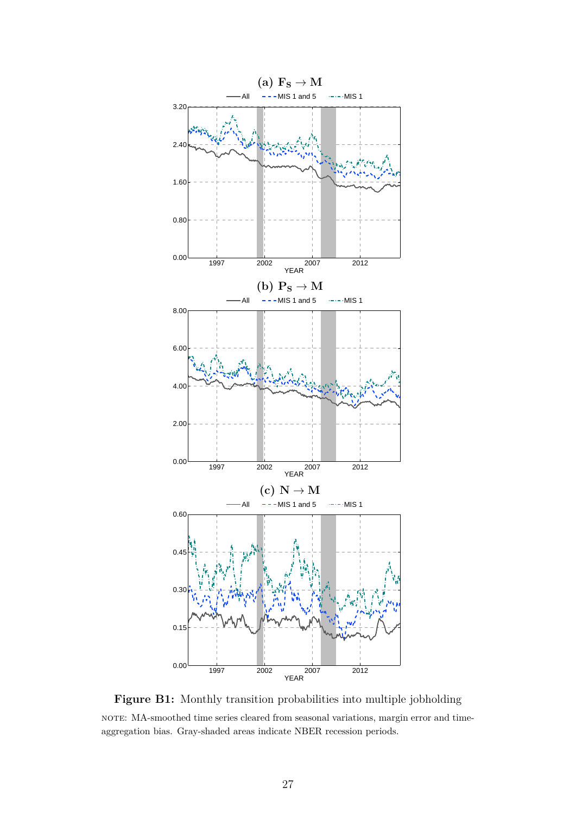<span id="page-28-0"></span>

Figure B1: Monthly transition probabilities into multiple jobholding note: MA-smoothed time series cleared from seasonal variations, margin error and timeaggregation bias. Gray-shaded areas indicate NBER recession periods.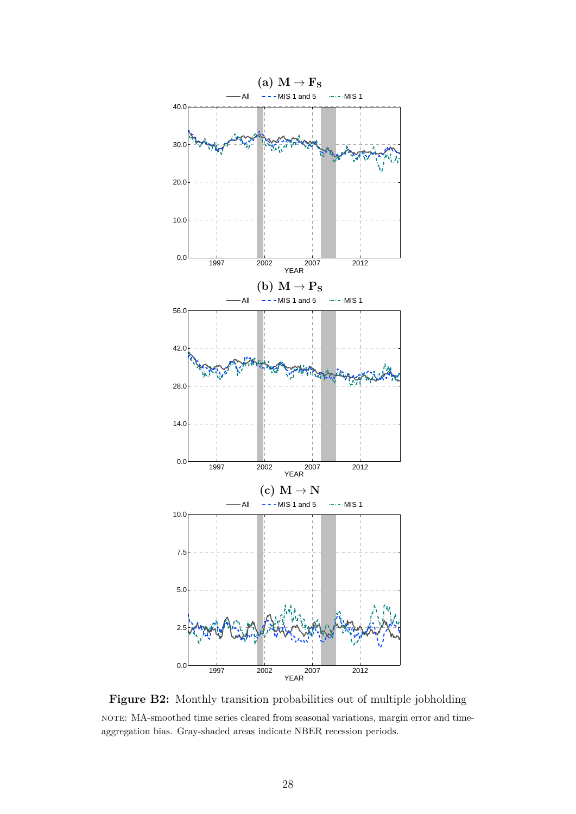<span id="page-29-0"></span>

**Figure B2:** Monthly transition probabilities out of multiple jobholding note: MA-smoothed time series cleared from seasonal variations, margin error and timeaggregation bias. Gray-shaded areas indicate NBER recession periods.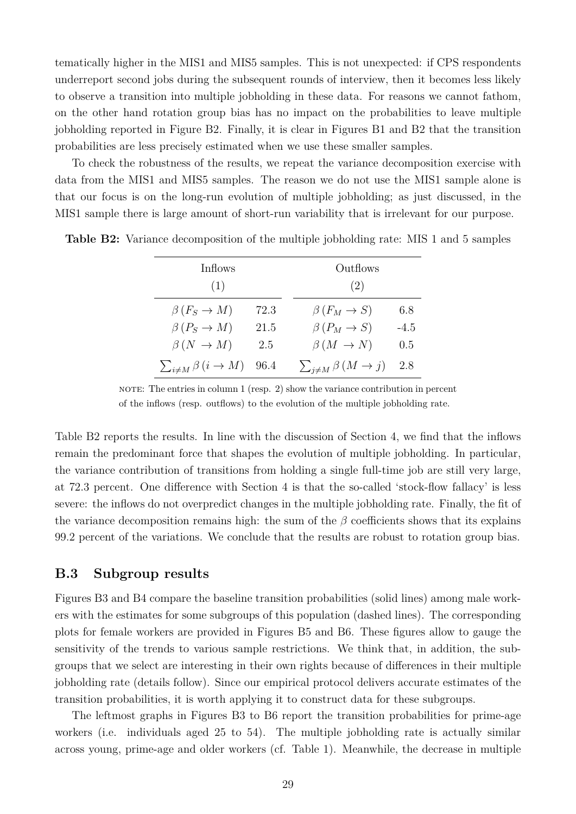tematically higher in the MIS1 and MIS5 samples. This is not unexpected: if CPS respondents underreport second jobs during the subsequent rounds of interview, then it becomes less likely to observe a transition into multiple jobholding in these data. For reasons we cannot fathom, on the other hand rotation group bias has no impact on the probabilities to leave multiple jobholding reported in Figure [B2.](#page-29-0) Finally, it is clear in Figures [B1](#page-28-0) and [B2](#page-29-0) that the transition probabilities are less precisely estimated when we use these smaller samples.

To check the robustness of the results, we repeat the variance decomposition exercise with data from the MIS1 and MIS5 samples. The reason we do not use the MIS1 sample alone is that our focus is on the long-run evolution of multiple jobholding; as just discussed, in the MIS1 sample there is large amount of short-run variability that is irrelevant for our purpose.

| Inflows                                  |      | Outflows                      |        |
|------------------------------------------|------|-------------------------------|--------|
| (1)                                      |      | (2)                           |        |
| $\beta(F_S \to M)$                       | 72.3 | $\beta(F_M \to S)$            | 6.8    |
| $\beta(P_S \to M)$                       | 21.5 | $\beta(P_M \to S)$            | $-4.5$ |
| $\beta(N \rightarrow M)$                 | 2.5  | $\beta(M \to N)$              | 0.5    |
| $\sum_{i \neq M} \beta(i \rightarrow M)$ | 96.4 | $\sum_{j\neq M}\beta(M\to j)$ | 2.8    |

<span id="page-30-1"></span>**Table B2:** Variance decomposition of the multiple jobholding rate: MIS 1 and 5 samples

NOTE: The entries in column  $1$  (resp.  $2$ ) show the variance contribution in percent of the inflows (resp. outflows) to the evolution of the multiple jobholding rate.

Table [B2](#page-30-1) reports the results. In line with the discussion of Section [4,](#page-15-0) we find that the inflows remain the predominant force that shapes the evolution of multiple jobholding. In particular, the variance contribution of transitions from holding a single full-time job are still very large, at 72.3 percent. One difference with Section [4](#page-15-0) is that the so-called 'stock-flow fallacy' is less severe: the inflows do not overpredict changes in the multiple jobholding rate. Finally, the fit of the variance decomposition remains high: the sum of the  $\beta$  coefficients shows that its explains 99.2 percent of the variations. We conclude that the results are robust to rotation group bias.

#### <span id="page-30-0"></span>**B.3 Subgroup results**

Figures [B3](#page-31-0) and [B4](#page-32-0) compare the baseline transition probabilities (solid lines) among male workers with the estimates for some subgroups of this population (dashed lines). The corresponding plots for female workers are provided in Figures [B5](#page-33-0) and [B6.](#page-34-0) These figures allow to gauge the sensitivity of the trends to various sample restrictions. We think that, in addition, the subgroups that we select are interesting in their own rights because of differences in their multiple jobholding rate (details follow). Since our empirical protocol delivers accurate estimates of the transition probabilities, it is worth applying it to construct data for these subgroups.

The leftmost graphs in Figures [B3](#page-31-0) to [B6](#page-34-0) report the transition probabilities for prime-age workers (i.e. individuals aged 25 to 54). The multiple jobholding rate is actually similar across young, prime-age and older workers (cf. Table [1\)](#page-8-0). Meanwhile, the decrease in multiple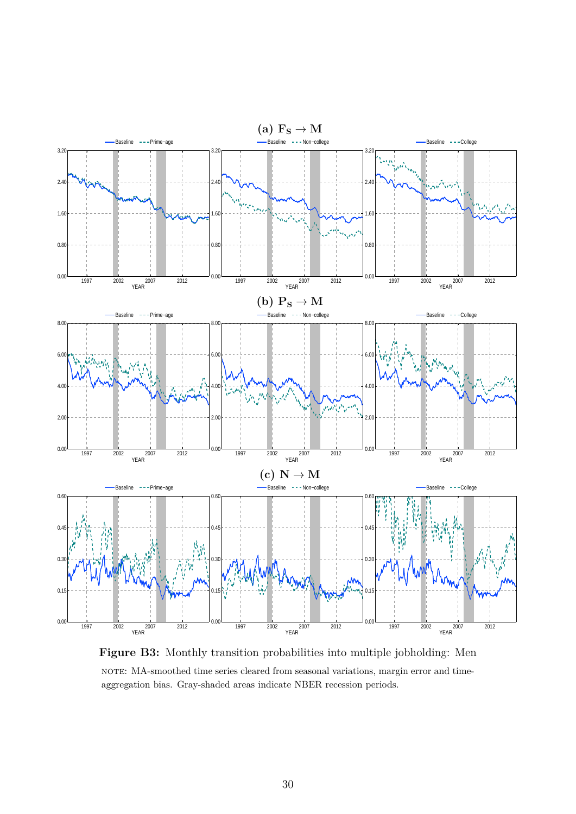<span id="page-31-0"></span>

**Figure B3:** Monthly transition probabilities into multiple jobholding: Men note: MA-smoothed time series cleared from seasonal variations, margin error and timeaggregation bias. Gray-shaded areas indicate NBER recession periods.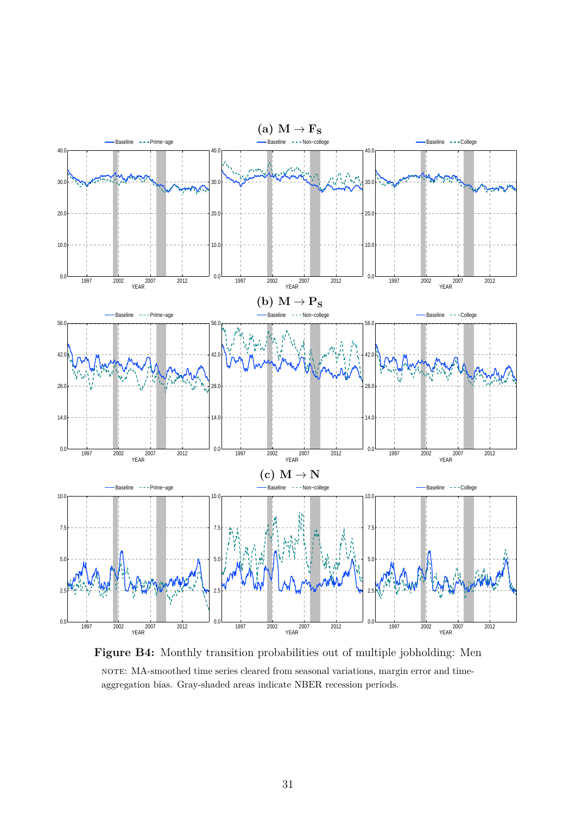<span id="page-32-0"></span>

**Figure B4:** Monthly transition probabilities out of multiple jobholding: Men NOTE: MA-smoothed time series cleared from seasonal variations, margin error and timeaggregation bias. Gray-shaded areas indicate NBER recession periods.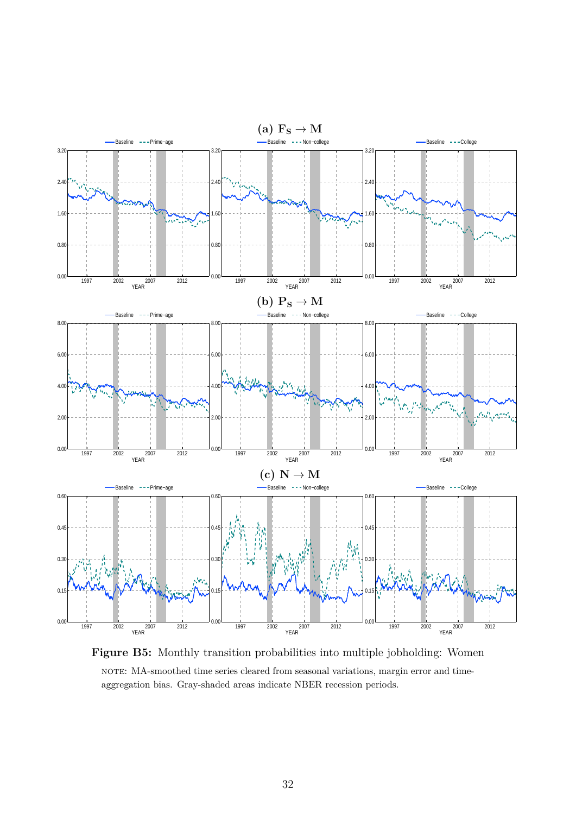<span id="page-33-0"></span>

**Figure B5:** Monthly transition probabilities into multiple jobholding: Women NOTE: MA-smoothed time series cleared from seasonal variations, margin error and timeaggregation bias. Gray-shaded areas indicate NBER recession periods.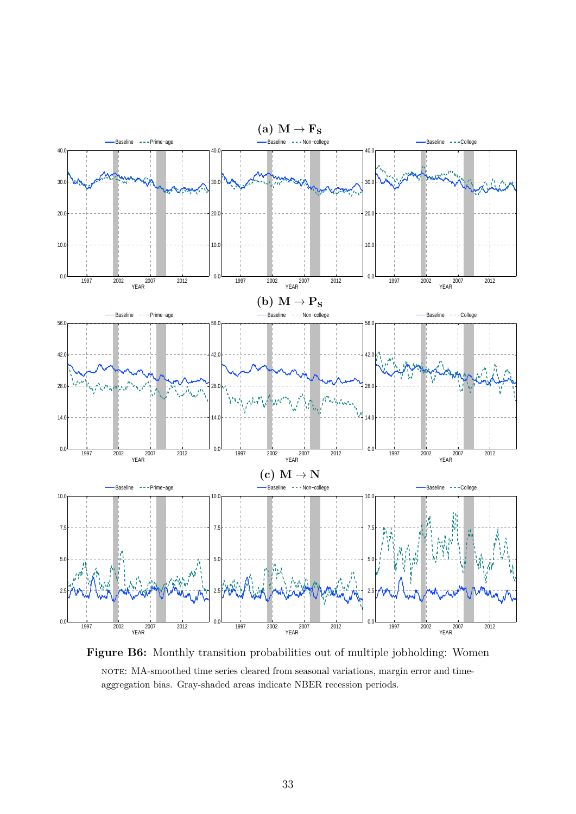<span id="page-34-0"></span>

**Figure B6:** Monthly transition probabilities out of multiple jobholding: Women NOTE: MA-smoothed time series cleared from seasonal variations, margin error and timeaggregation bias. Gray-shaded areas indicate NBER recession periods.